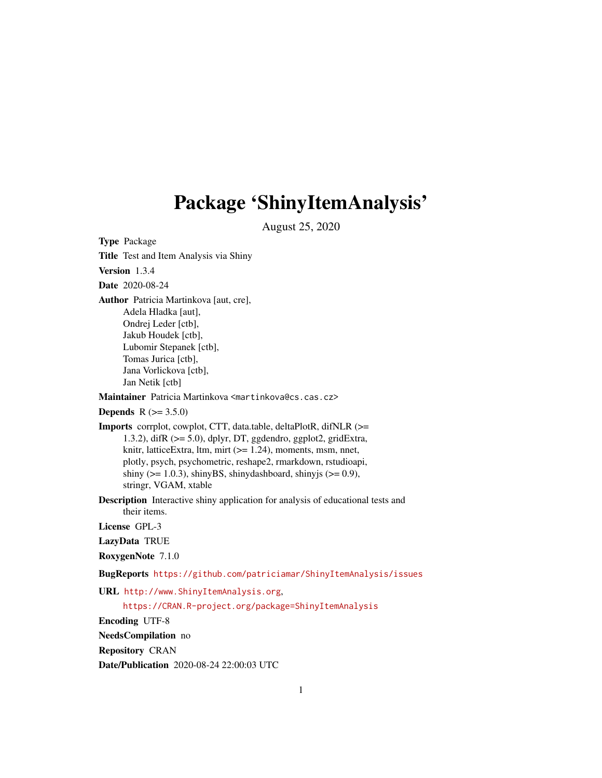# Package 'ShinyItemAnalysis'

August 25, 2020

<span id="page-0-0"></span>Type Package Title Test and Item Analysis via Shiny Version 1.3.4 Date 2020-08-24 Author Patricia Martinkova [aut, cre], Adela Hladka [aut], Ondrej Leder [ctb], Jakub Houdek [ctb], Lubomir Stepanek [ctb], Tomas Jurica [ctb], Jana Vorlickova [ctb], Jan Netik [ctb] Maintainer Patricia Martinkova <martinkova@cs.cas.cz> **Depends**  $R (= 3.5.0)$ Imports corrplot, cowplot, CTT, data.table, deltaPlotR, difNLR (>= 1.3.2), difR (>= 5.0), dplyr, DT, ggdendro, ggplot2, gridExtra, knitr, latticeExtra, ltm, mirt (>= 1.24), moments, msm, nnet, plotly, psych, psychometric, reshape2, rmarkdown, rstudioapi, shiny ( $>= 1.0.3$ ), shinyBS, shinydashboard, shinyjs ( $>= 0.9$ ), stringr, VGAM, xtable Description Interactive shiny application for analysis of educational tests and their items. License GPL-3 LazyData TRUE RoxygenNote 7.1.0 BugReports <https://github.com/patriciamar/ShinyItemAnalysis/issues> URL <http://www.ShinyItemAnalysis.org>, <https://CRAN.R-project.org/package=ShinyItemAnalysis> Encoding UTF-8 NeedsCompilation no Repository CRAN

Date/Publication 2020-08-24 22:00:03 UTC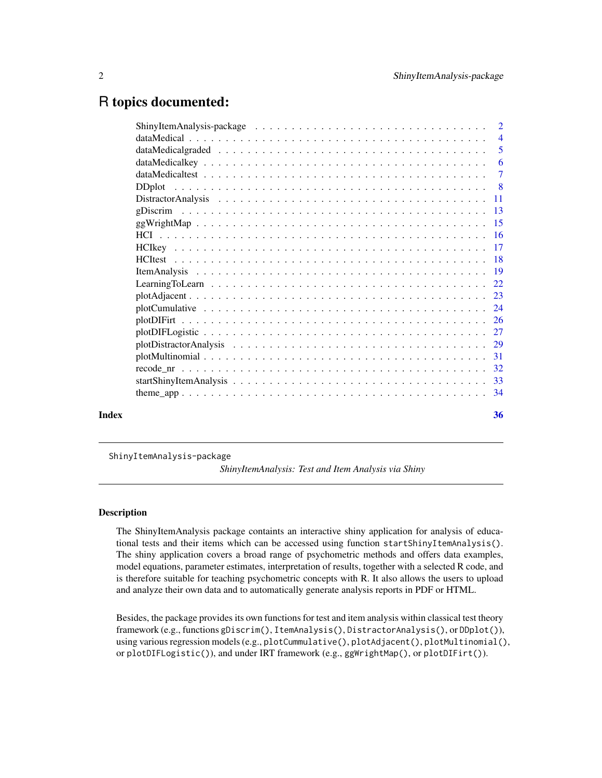# <span id="page-1-0"></span>R topics documented:

| Index | 36 |
|-------|----|
|       |    |

ShinyItemAnalysis-package

*ShinyItemAnalysis: Test and Item Analysis via Shiny*

# **Description**

The ShinyItemAnalysis package containts an interactive shiny application for analysis of educational tests and their items which can be accessed using function startShinyItemAnalysis(). The shiny application covers a broad range of psychometric methods and offers data examples, model equations, parameter estimates, interpretation of results, together with a selected R code, and is therefore suitable for teaching psychometric concepts with R. It also allows the users to upload and analyze their own data and to automatically generate analysis reports in PDF or HTML.

Besides, the package provides its own functions for test and item analysis within classical test theory framework (e.g., functions gDiscrim(), ItemAnalysis(), DistractorAnalysis(), or DDplot()), using various regression models (e.g., plotCummulative(), plotAdjacent(), plotMultinomial(), or plotDIFLogistic()), and under IRT framework (e.g., ggWrightMap(), or plotDIFirt()).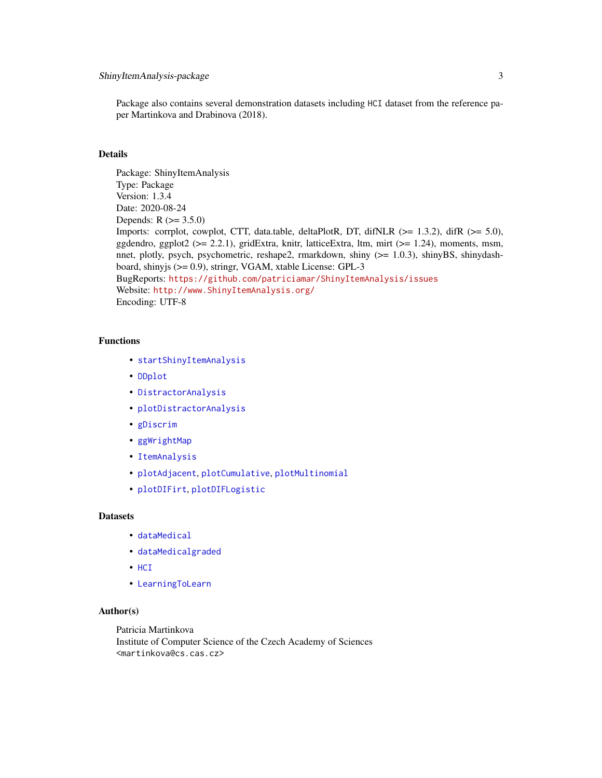<span id="page-2-0"></span>Package also contains several demonstration datasets including HCI dataset from the reference paper Martinkova and Drabinova (2018).

# **Details**

Package: ShinyItemAnalysis Type: Package Version: 1.3.4 Date: 2020-08-24 Depends:  $R (= 3.5.0)$ Imports: corrplot, cowplot, CTT, data.table, deltaPlotR, DT, difNLR (>= 1.3.2), difR (>= 5.0), ggdendro, ggplot2 (>= 2.2.1), gridExtra, knitr, latticeExtra, ltm, mirt (>= 1.24), moments, msm, nnet, plotly, psych, psychometric, reshape2, rmarkdown, shiny (>= 1.0.3), shinyBS, shinydashboard, shinyjs (>= 0.9), stringr, VGAM, xtable License: GPL-3 BugReports: <https://github.com/patriciamar/ShinyItemAnalysis/issues> Website: <http://www.ShinyItemAnalysis.org/> Encoding: UTF-8

# Functions

- [startShinyItemAnalysis](#page-32-1)
- [DDplot](#page-7-1)
- [DistractorAnalysis](#page-10-1)
- [plotDistractorAnalysis](#page-28-1)
- [gDiscrim](#page-12-1)
- [ggWrightMap](#page-14-1)
- [ItemAnalysis](#page-18-1)
- [plotAdjacent](#page-22-1), [plotCumulative](#page-23-1), [plotMultinomial](#page-30-1)
- [plotDIFirt](#page-25-1), [plotDIFLogistic](#page-26-1)

#### **Datasets**

- [dataMedical](#page-3-1)
- [dataMedicalgraded](#page-4-1)
- [HCI](#page-15-1)
- [LearningToLearn](#page-21-1)

# Author(s)

Patricia Martinkova Institute of Computer Science of the Czech Academy of Sciences <martinkova@cs.cas.cz>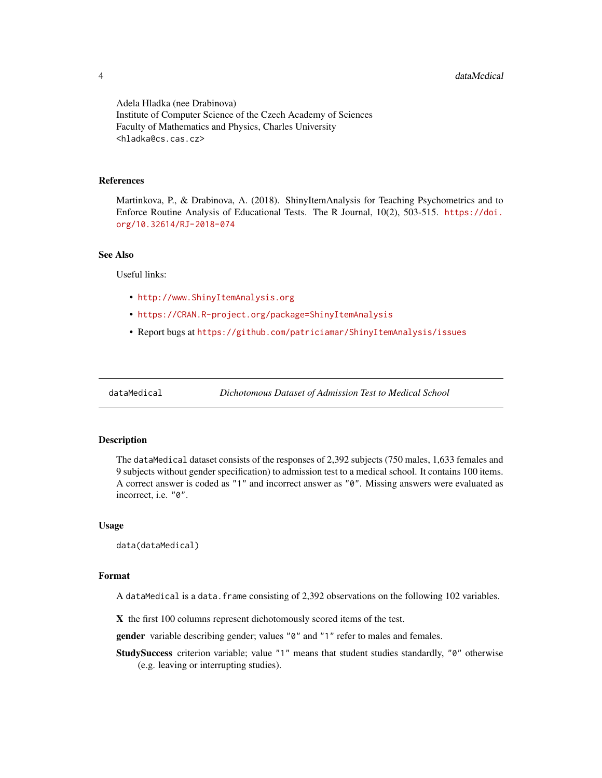4 dataMedical and the set of the set of the set of the set of the set of the set of the set of the set of the set of the set of the set of the set of the set of the set of the set of the set of the set of the set of the se

Adela Hladka (nee Drabinova) Institute of Computer Science of the Czech Academy of Sciences Faculty of Mathematics and Physics, Charles University <hladka@cs.cas.cz>

#### References

Martinkova, P., & Drabinova, A. (2018). ShinyItemAnalysis for Teaching Psychometrics and to Enforce Routine Analysis of Educational Tests. The R Journal, 10(2), 503-515. [https://doi.](https://doi.org/10.32614/RJ-2018-074) [org/10.32614/RJ-2018-074](https://doi.org/10.32614/RJ-2018-074)

# See Also

Useful links:

- <http://www.ShinyItemAnalysis.org>
- <https://CRAN.R-project.org/package=ShinyItemAnalysis>
- Report bugs at <https://github.com/patriciamar/ShinyItemAnalysis/issues>

<span id="page-3-1"></span>

dataMedical *Dichotomous Dataset of Admission Test to Medical School*

#### Description

The dataMedical dataset consists of the responses of 2,392 subjects (750 males, 1,633 females and 9 subjects without gender specification) to admission test to a medical school. It contains 100 items. A correct answer is coded as "1" and incorrect answer as "0". Missing answers were evaluated as incorrect, i.e. "0".

#### Usage

data(dataMedical)

#### Format

A dataMedical is a data.frame consisting of 2,392 observations on the following 102 variables.

X the first 100 columns represent dichotomously scored items of the test.

gender variable describing gender; values "0" and "1" refer to males and females.

StudySuccess criterion variable; value "1" means that student studies standardly, "0" otherwise (e.g. leaving or interrupting studies).

<span id="page-3-0"></span>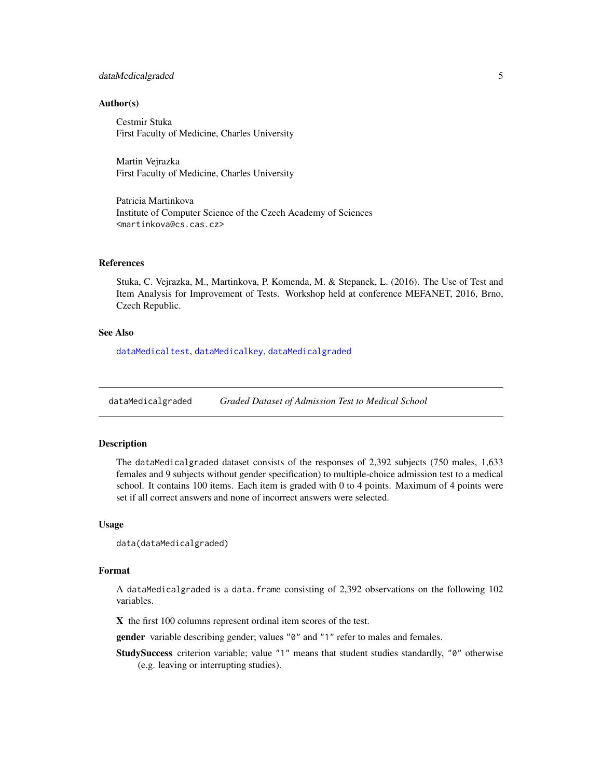# <span id="page-4-0"></span>dataMedicalgraded 5

### Author(s)

Cestmir Stuka First Faculty of Medicine, Charles University

Martin Vejrazka First Faculty of Medicine, Charles University

Patricia Martinkova Institute of Computer Science of the Czech Academy of Sciences <martinkova@cs.cas.cz>

### References

Stuka, C. Vejrazka, M., Martinkova, P. Komenda, M. & Stepanek, L. (2016). The Use of Test and Item Analysis for Improvement of Tests. Workshop held at conference MEFANET, 2016, Brno, Czech Republic.

# See Also

[dataMedicaltest](#page-6-1), [dataMedicalkey](#page-5-1), [dataMedicalgraded](#page-4-1)

<span id="page-4-1"></span>dataMedicalgraded *Graded Dataset of Admission Test to Medical School*

# Description

The dataMedicalgraded dataset consists of the responses of 2,392 subjects (750 males, 1,633 females and 9 subjects without gender specification) to multiple-choice admission test to a medical school. It contains 100 items. Each item is graded with 0 to 4 points. Maximum of 4 points were set if all correct answers and none of incorrect answers were selected.

#### Usage

```
data(dataMedicalgraded)
```
#### Format

A dataMedicalgraded is a data.frame consisting of 2,392 observations on the following 102 variables.

X the first 100 columns represent ordinal item scores of the test.

gender variable describing gender; values "0" and "1" refer to males and females.

StudySuccess criterion variable; value "1" means that student studies standardly, "0" otherwise (e.g. leaving or interrupting studies).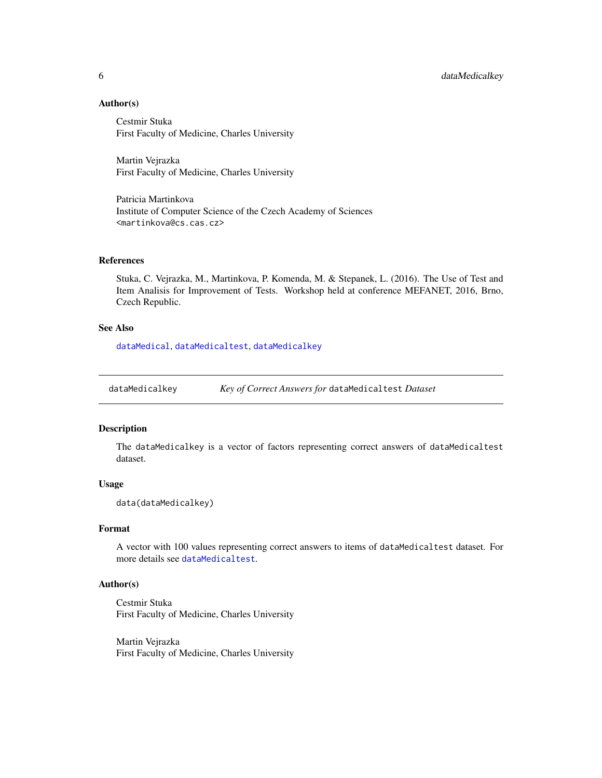# Author(s)

Cestmir Stuka First Faculty of Medicine, Charles University

Martin Vejrazka First Faculty of Medicine, Charles University

Patricia Martinkova Institute of Computer Science of the Czech Academy of Sciences <martinkova@cs.cas.cz>

# References

Stuka, C. Vejrazka, M., Martinkova, P. Komenda, M. & Stepanek, L. (2016). The Use of Test and Item Analisis for Improvement of Tests. Workshop held at conference MEFANET, 2016, Brno, Czech Republic.

# See Also

[dataMedical](#page-3-1), [dataMedicaltest](#page-6-1), [dataMedicalkey](#page-5-1)

<span id="page-5-1"></span>dataMedicalkey *Key of Correct Answers for* dataMedicaltest *Dataset*

# Description

The dataMedicalkey is a vector of factors representing correct answers of dataMedicaltest dataset.

#### Usage

data(dataMedicalkey)

# Format

A vector with 100 values representing correct answers to items of dataMedicaltest dataset. For more details see [dataMedicaltest](#page-6-1).

# Author(s)

Cestmir Stuka First Faculty of Medicine, Charles University

Martin Vejrazka First Faculty of Medicine, Charles University

<span id="page-5-0"></span>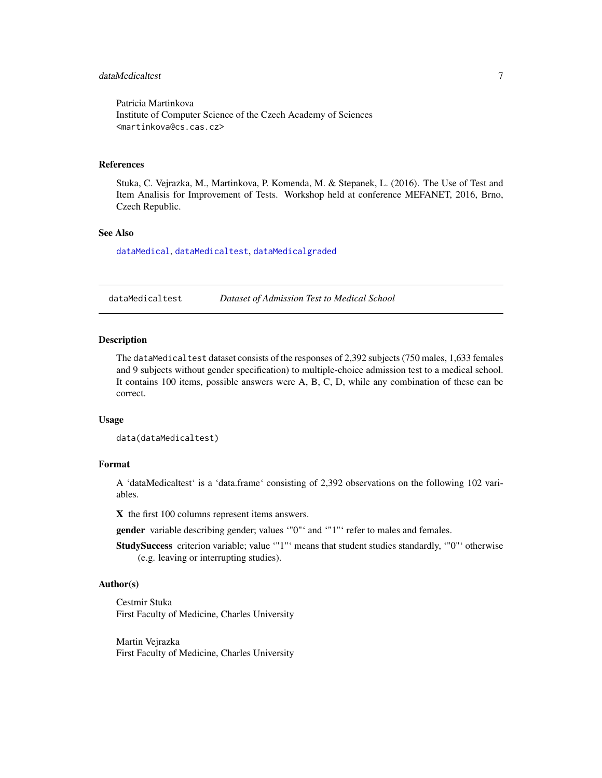# <span id="page-6-0"></span>dataMedicaltest 7

Patricia Martinkova Institute of Computer Science of the Czech Academy of Sciences <martinkova@cs.cas.cz>

#### References

Stuka, C. Vejrazka, M., Martinkova, P. Komenda, M. & Stepanek, L. (2016). The Use of Test and Item Analisis for Improvement of Tests. Workshop held at conference MEFANET, 2016, Brno, Czech Republic.

### See Also

[dataMedical](#page-3-1), [dataMedicaltest](#page-6-1), [dataMedicalgraded](#page-4-1)

<span id="page-6-1"></span>dataMedicaltest *Dataset of Admission Test to Medical School*

# Description

The dataMedicaltest dataset consists of the responses of 2,392 subjects (750 males, 1,633 females and 9 subjects without gender specification) to multiple-choice admission test to a medical school. It contains 100 items, possible answers were A, B, C, D, while any combination of these can be correct.

#### Usage

```
data(dataMedicaltest)
```
# Format

A 'dataMedicaltest' is a 'data.frame' consisting of 2,392 observations on the following 102 variables.

X the first 100 columns represent items answers.

gender variable describing gender; values '"0"' and '"1"' refer to males and females.

StudySuccess criterion variable; value '"1"' means that student studies standardly, '"0"' otherwise (e.g. leaving or interrupting studies).

#### Author(s)

Cestmir Stuka First Faculty of Medicine, Charles University

Martin Vejrazka First Faculty of Medicine, Charles University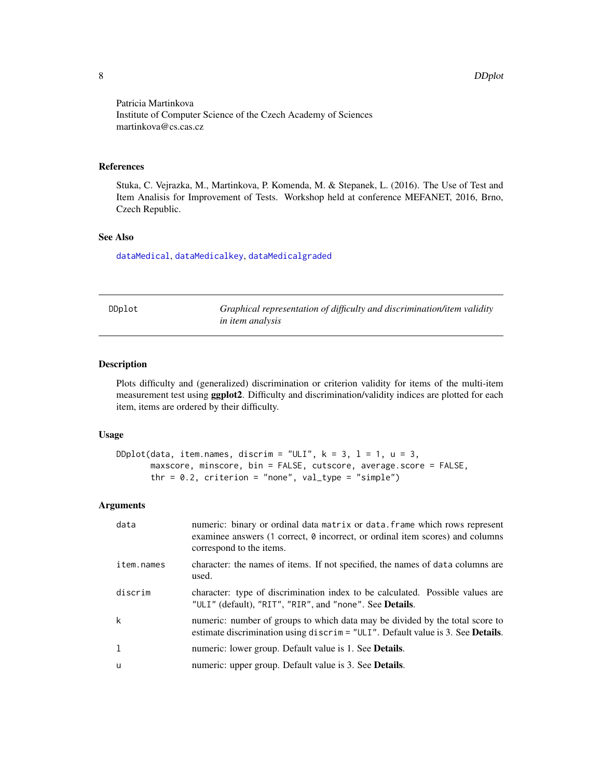Patricia Martinkova Institute of Computer Science of the Czech Academy of Sciences martinkova@cs.cas.cz

#### References

Stuka, C. Vejrazka, M., Martinkova, P. Komenda, M. & Stepanek, L. (2016). The Use of Test and Item Analisis for Improvement of Tests. Workshop held at conference MEFANET, 2016, Brno, Czech Republic.

# See Also

[dataMedical](#page-3-1), [dataMedicalkey](#page-5-1), [dataMedicalgraded](#page-4-1)

<span id="page-7-1"></span>

| IDn I<br>0 |  |
|------------|--|
|------------|--|

Graphical representation of difficulty and discrimination/item validity *in item analysis*

# Description

Plots difficulty and (generalized) discrimination or criterion validity for items of the multi-item measurement test using ggplot2. Difficulty and discrimination/validity indices are plotted for each item, items are ordered by their difficulty.

# Usage

```
DDplot(data, item.names, discrim = "ULI", k = 3, l = 1, u = 3,
      maxscore, minscore, bin = FALSE, cutscore, average.score = FALSE,
       thr = 0.2, criterion = "none", val_type = "simple")
```
# Arguments

| data       | numeric: binary or ordinal data matrix or data. frame which rows represent<br>examinee answers (1 correct, $\theta$ incorrect, or ordinal item scores) and columns<br>correspond to the items. |
|------------|------------------------------------------------------------------------------------------------------------------------------------------------------------------------------------------------|
| item.names | character: the names of items. If not specified, the names of data columns are<br>used.                                                                                                        |
| discrim    | character: type of discrimination index to be calculated. Possible values are<br>"ULI" (default), "RIT", "RIR", and "none". See Details.                                                       |
| k          | numeric: number of groups to which data may be divided by the total score to<br>estimate discrimination using discrim = $"ULI".$ Default value is 3. See <b>Details.</b>                       |
| 1          | numeric: lower group. Default value is 1. See Details.                                                                                                                                         |
| u          | numeric: upper group. Default value is 3. See Details.                                                                                                                                         |

<span id="page-7-0"></span>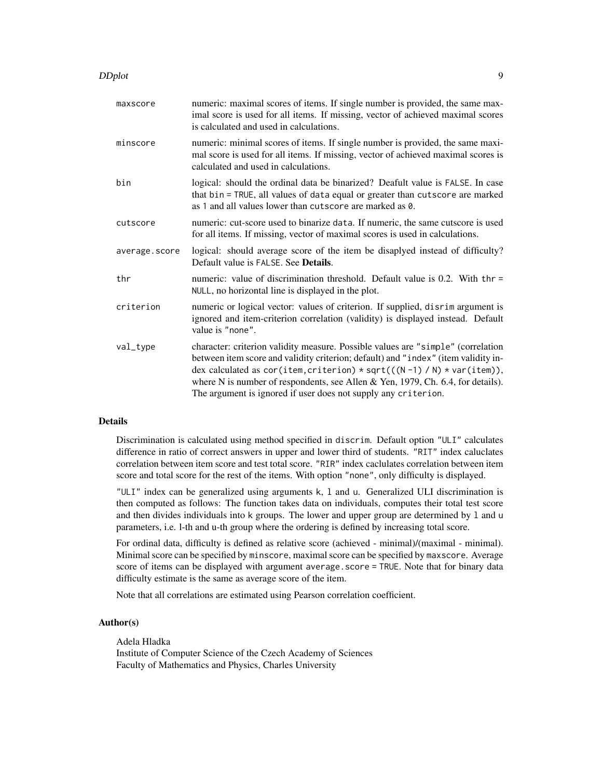#### DDplot the contract of the contract of the contract of the contract of the contract of the contract of the contract of the contract of the contract of the contract of the contract of the contract of the contract of the con

| maxscore      | numeric: maximal scores of items. If single number is provided, the same max-<br>imal score is used for all items. If missing, vector of achieved maximal scores<br>is calculated and used in calculations.                                                                                                                                                                                            |
|---------------|--------------------------------------------------------------------------------------------------------------------------------------------------------------------------------------------------------------------------------------------------------------------------------------------------------------------------------------------------------------------------------------------------------|
| minscore      | numeric: minimal scores of items. If single number is provided, the same maxi-<br>mal score is used for all items. If missing, vector of achieved maximal scores is<br>calculated and used in calculations.                                                                                                                                                                                            |
| bin           | logical: should the ordinal data be binarized? Deafult value is FALSE. In case<br>that bin = TRUE, all values of data equal or greater than cutscore are marked<br>as 1 and all values lower than cutscore are marked as 0.                                                                                                                                                                            |
| cutscore      | numeric: cut-score used to binarize data. If numeric, the same cutscore is used<br>for all items. If missing, vector of maximal scores is used in calculations.                                                                                                                                                                                                                                        |
| average.score | logical: should average score of the item be disaplyed instead of difficulty?<br>Default value is FALSE. See Details.                                                                                                                                                                                                                                                                                  |
| thr           | numeric: value of discrimination threshold. Default value is 0.2. With $thr =$<br>NULL, no horizontal line is displayed in the plot.                                                                                                                                                                                                                                                                   |
| criterion     | numeric or logical vector: values of criterion. If supplied, disrimargument is<br>ignored and item-criterion correlation (validity) is displayed instead. Default<br>value is "none".                                                                                                                                                                                                                  |
| val_type      | character: criterion validity measure. Possible values are "simple" (correlation<br>between item score and validity criterion; default) and "index" (item validity in-<br>dex calculated as cor(item, criterion) * sqrt(((N-1) / N) * var(item)),<br>where N is number of respondents, see Allen & Yen, 1979, Ch. 6.4, for details).<br>The argument is ignored if user does not supply any criterion. |

# Details

Discrimination is calculated using method specified in discrim. Default option "ULI" calculates difference in ratio of correct answers in upper and lower third of students. "RIT" index caluclates correlation between item score and test total score. "RIR" index caclulates correlation between item score and total score for the rest of the items. With option "none", only difficulty is displayed.

"ULI" index can be generalized using arguments k, l and u. Generalized ULI discrimination is then computed as follows: The function takes data on individuals, computes their total test score and then divides individuals into k groups. The lower and upper group are determined by l and u parameters, i.e. l-th and u-th group where the ordering is defined by increasing total score.

For ordinal data, difficulty is defined as relative score (achieved - minimal)/(maximal - minimal). Minimal score can be specified by minscore, maximal score can be specified by maxscore. Average score of items can be displayed with argument average.score = TRUE. Note that for binary data difficulty estimate is the same as average score of the item.

Note that all correlations are estimated using Pearson correlation coefficient.

### Author(s)

Adela Hladka

Institute of Computer Science of the Czech Academy of Sciences Faculty of Mathematics and Physics, Charles University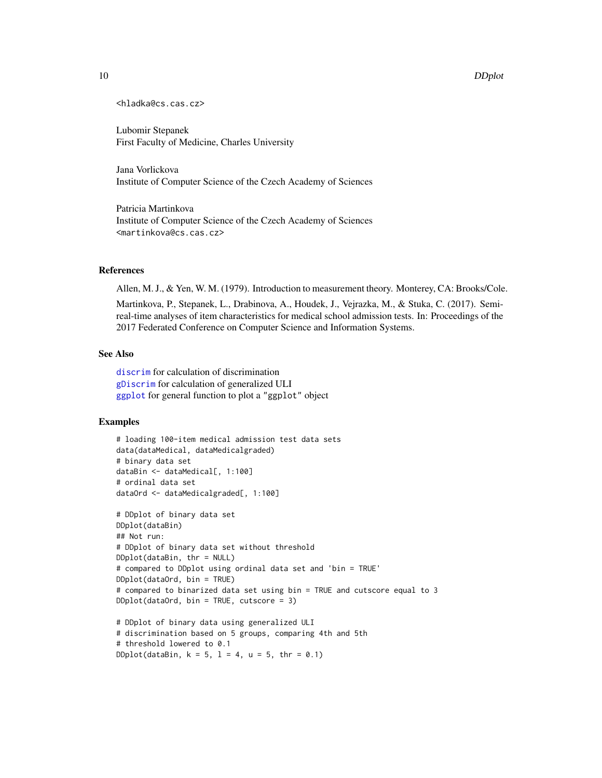### <span id="page-9-0"></span>10 DDplot

```
<hladka@cs.cas.cz>
```
Lubomir Stepanek First Faculty of Medicine, Charles University

Jana Vorlickova Institute of Computer Science of the Czech Academy of Sciences

Patricia Martinkova Institute of Computer Science of the Czech Academy of Sciences <martinkova@cs.cas.cz>

# References

Allen, M. J., & Yen, W. M. (1979). Introduction to measurement theory. Monterey, CA: Brooks/Cole.

Martinkova, P., Stepanek, L., Drabinova, A., Houdek, J., Vejrazka, M., & Stuka, C. (2017). Semireal-time analyses of item characteristics for medical school admission tests. In: Proceedings of the 2017 Federated Conference on Computer Science and Information Systems.

# See Also

[discrim](#page-0-0) for calculation of discrimination [gDiscrim](#page-12-1) for calculation of generalized ULI [ggplot](#page-0-0) for general function to plot a "ggplot" object

# Examples

```
# loading 100-item medical admission test data sets
data(dataMedical, dataMedicalgraded)
# binary data set
dataBin <- dataMedical[, 1:100]
# ordinal data set
dataOrd <- dataMedicalgraded[, 1:100]
# DDplot of binary data set
DDplot(dataBin)
## Not run:
# DDplot of binary data set without threshold
DDplot(dataBin, thr = NULL)
# compared to DDplot using ordinal data set and 'bin = TRUE'
DDplot(dataOrd, bin = TRUE)
# compared to binarized data set using bin = TRUE and cutscore equal to 3
DDplot(dataOrd, bin = TRUE, cutscore = 3)# DDplot of binary data using generalized ULI
# discrimination based on 5 groups, comparing 4th and 5th
# threshold lowered to 0.1
```
 $DDplot(dataBin, k = 5, l = 4, u = 5, thr = 0.1)$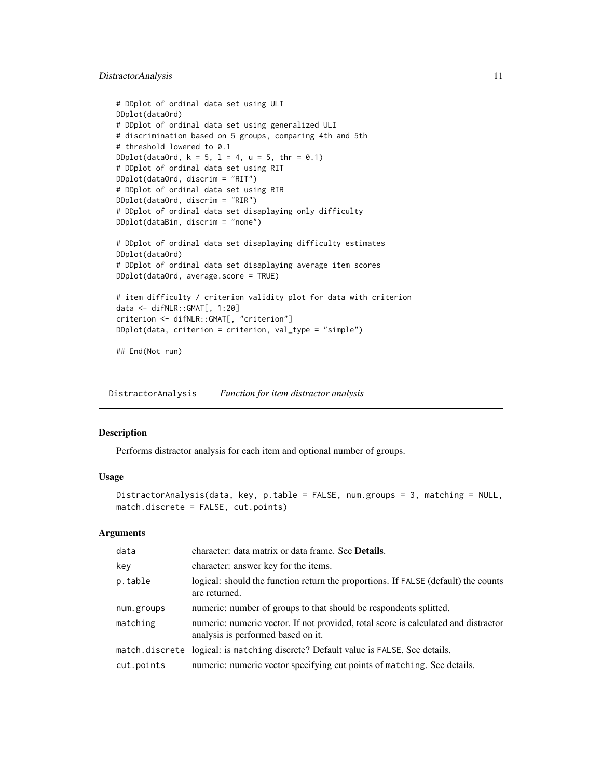# <span id="page-10-0"></span>DistractorAnalysis 11

```
# DDplot of ordinal data set using ULI
DDplot(dataOrd)
# DDplot of ordinal data set using generalized ULI
# discrimination based on 5 groups, comparing 4th and 5th
# threshold lowered to 0.1
DDplot(dataOrd, k = 5, l = 4, u = 5, thr = 0.1)
# DDplot of ordinal data set using RIT
DDplot(dataOrd, discrim = "RIT")
# DDplot of ordinal data set using RIR
DDplot(dataOrd, discrim = "RIR")
# DDplot of ordinal data set disaplaying only difficulty
DDplot(dataBin, discrim = "none")
# DDplot of ordinal data set disaplaying difficulty estimates
DDplot(dataOrd)
# DDplot of ordinal data set disaplaying average item scores
DDplot(dataOrd, average.score = TRUE)
# item difficulty / criterion validity plot for data with criterion
data <- difNLR::GMAT[, 1:20]
criterion <- difNLR::GMAT[, "criterion"]
DDplot(data, criterion = criterion, val_type = "simple")
## End(Not run)
```
<span id="page-10-1"></span>DistractorAnalysis *Function for item distractor analysis*

#### Description

Performs distractor analysis for each item and optional number of groups.

#### Usage

```
DistractorAnalysis(data, key, p.table = FALSE, num.groups = 3, matching = NULL,
match.discrete = FALSE, cut.points)
```
#### **Arguments**

| data       | character: data matrix or data frame. See Details.                                                                       |
|------------|--------------------------------------------------------------------------------------------------------------------------|
| key        | character: answer key for the items.                                                                                     |
| p.table    | logical: should the function return the proportions. If FALSE (default) the counts<br>are returned.                      |
| num.groups | numeric: number of groups to that should be respondents splitted.                                                        |
| matching   | numeric: numeric vector. If not provided, total score is calculated and distractor<br>analysis is performed based on it. |
|            | match.discrete logical: is matching discrete? Default value is FALSE. See details.                                       |
| cut.points | numeric: numeric vector specifying cut points of matching. See details.                                                  |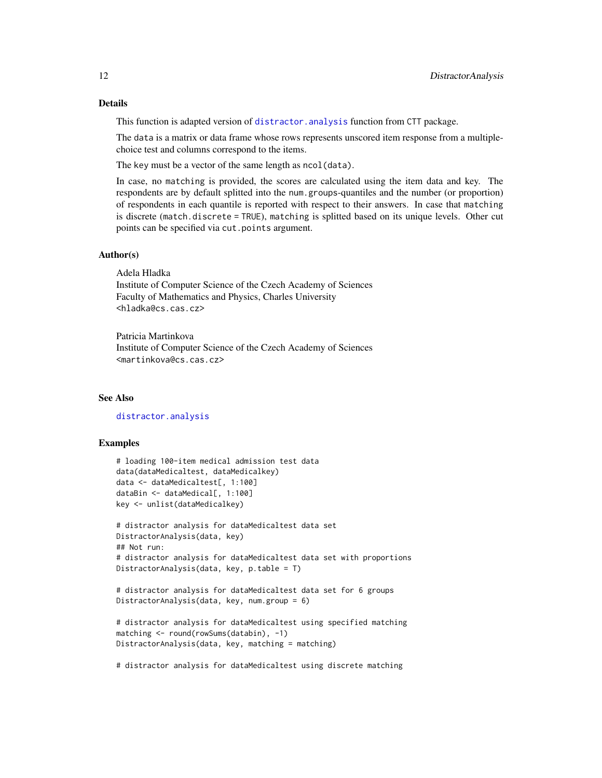<span id="page-11-0"></span>This function is adapted version of [distractor.analysis](#page-0-0) function from CTT package.

The data is a matrix or data frame whose rows represents unscored item response from a multiplechoice test and columns correspond to the items.

The key must be a vector of the same length as ncol(data).

In case, no matching is provided, the scores are calculated using the item data and key. The respondents are by default splitted into the num.groups-quantiles and the number (or proportion) of respondents in each quantile is reported with respect to their answers. In case that matching is discrete (match.discrete = TRUE), matching is splitted based on its unique levels. Other cut points can be specified via cut.points argument.

#### Author(s)

Adela Hladka Institute of Computer Science of the Czech Academy of Sciences Faculty of Mathematics and Physics, Charles University <hladka@cs.cas.cz>

Patricia Martinkova Institute of Computer Science of the Czech Academy of Sciences <martinkova@cs.cas.cz>

# See Also

# [distractor.analysis](#page-0-0)

# Examples

```
# loading 100-item medical admission test data
data(dataMedicaltest, dataMedicalkey)
data <- dataMedicaltest[, 1:100]
dataBin <- dataMedical[, 1:100]
key <- unlist(dataMedicalkey)
```

```
# distractor analysis for dataMedicaltest data set
DistractorAnalysis(data, key)
## Not run:
# distractor analysis for dataMedicaltest data set with proportions
DistractorAnalysis(data, key, p.table = T)
```

```
# distractor analysis for dataMedicaltest data set for 6 groups
DistractorAnalysis(data, key, num.group = 6)
```

```
# distractor analysis for dataMedicaltest using specified matching
matching <- round(rowSums(databin), -1)
DistractorAnalysis(data, key, matching = matching)
```
# distractor analysis for dataMedicaltest using discrete matching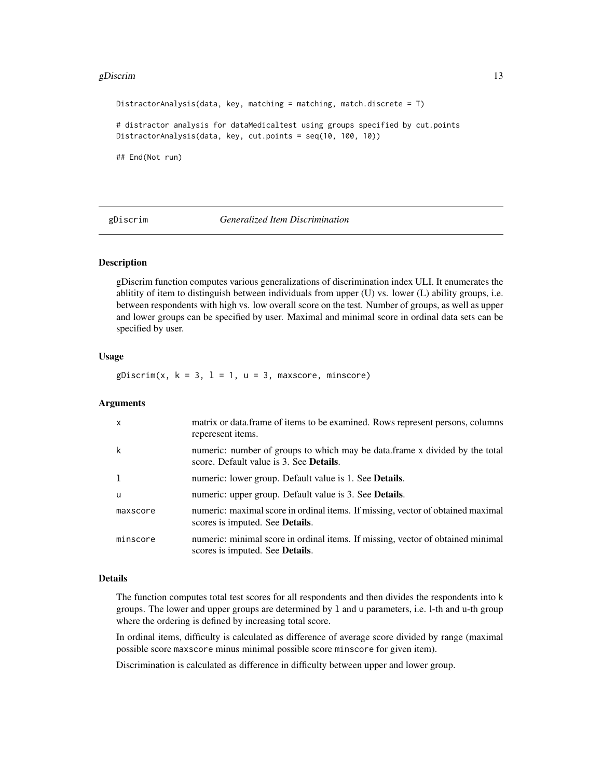#### <span id="page-12-0"></span>gDiscrim  $\qquad \qquad$  13

DistractorAnalysis(data, key, matching = matching, match.discrete = T) # distractor analysis for dataMedicaltest using groups specified by cut.points DistractorAnalysis(data, key, cut.points = seq(10, 100, 10)) ## End(Not run)

#### <span id="page-12-1"></span>gDiscrim *Generalized Item Discrimination*

#### Description

gDiscrim function computes various generalizations of discrimination index ULI. It enumerates the ablitity of item to distinguish between individuals from upper (U) vs. lower (L) ability groups, i.e. between respondents with high vs. low overall score on the test. Number of groups, as well as upper and lower groups can be specified by user. Maximal and minimal score in ordinal data sets can be specified by user.

# Usage

 $gDiscrim(x, k = 3, l = 1, u = 3, maxscore, minscore)$ 

#### Arguments

| $\mathsf{x}$ | matrix or data. frame of items to be examined. Rows represent persons, columns<br>reperesent items.                            |
|--------------|--------------------------------------------------------------------------------------------------------------------------------|
| k            | numeric: number of groups to which may be data.frame x divided by the total<br>score. Default value is 3. See <b>Details</b> . |
|              | numeric: lower group. Default value is 1. See <b>Details</b> .                                                                 |
| - u          | numeric: upper group. Default value is 3. See <b>Details</b> .                                                                 |
| maxscore     | numeric: maximal score in ordinal items. If missing, vector of obtained maximal<br>scores is imputed. See <b>Details</b> .     |
| minscore     | numeric: minimal score in ordinal items. If missing, vector of obtained minimal<br>scores is imputed. See <b>Details</b> .     |

#### Details

The function computes total test scores for all respondents and then divides the respondents into k groups. The lower and upper groups are determined by l and u parameters, i.e. l-th and u-th group where the ordering is defined by increasing total score.

In ordinal items, difficulty is calculated as difference of average score divided by range (maximal possible score maxscore minus minimal possible score minscore for given item).

Discrimination is calculated as difference in difficulty between upper and lower group.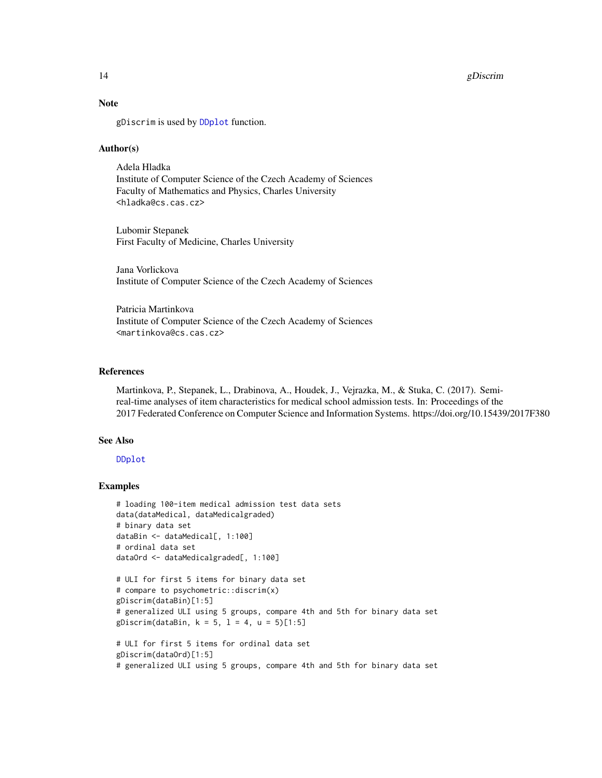#### <span id="page-13-0"></span>14 gDiscrim

# Note

gDiscrim is used by [DDplot](#page-7-1) function.

# Author(s)

Adela Hladka Institute of Computer Science of the Czech Academy of Sciences Faculty of Mathematics and Physics, Charles University <hladka@cs.cas.cz>

Lubomir Stepanek First Faculty of Medicine, Charles University

Jana Vorlickova Institute of Computer Science of the Czech Academy of Sciences

Patricia Martinkova Institute of Computer Science of the Czech Academy of Sciences <martinkova@cs.cas.cz>

# References

Martinkova, P., Stepanek, L., Drabinova, A., Houdek, J., Vejrazka, M., & Stuka, C. (2017). Semireal-time analyses of item characteristics for medical school admission tests. In: Proceedings of the 2017 Federated Conference on Computer Science and Information Systems. https://doi.org/10.15439/2017F380

### See Also

[DDplot](#page-7-1)

# Examples

```
# loading 100-item medical admission test data sets
data(dataMedical, dataMedicalgraded)
# binary data set
dataBin <- dataMedical[, 1:100]
# ordinal data set
dataOrd <- dataMedicalgraded[, 1:100]
# ULI for first 5 items for binary data set
```

```
# compare to psychometric::discrim(x)
gDiscrim(dataBin)[1:5]
# generalized ULI using 5 groups, compare 4th and 5th for binary data set
gDiscrim(dataBin, k = 5, l = 4, u = 5)[1:5]# ULI for first 5 items for ordinal data set
```

```
gDiscrim(dataOrd)[1:5]
# generalized ULI using 5 groups, compare 4th and 5th for binary data set
```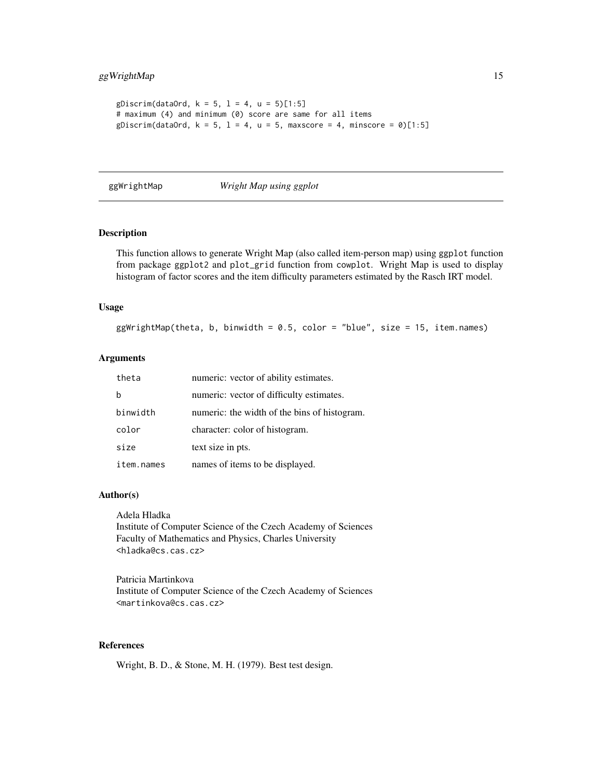```
gDiscrim(dataOrd, k = 5, l = 4, u = 5)[1:5]# maximum (4) and minimum (0) score are same for all items
gDiscrim(dataOrd, k = 5, l = 4, u = 5, maxscore = 4, minscore = 0)[1:5]
```
<span id="page-14-1"></span>ggWrightMap *Wright Map using ggplot*

# Description

This function allows to generate Wright Map (also called item-person map) using ggplot function from package ggplot2 and plot\_grid function from cowplot. Wright Map is used to display histogram of factor scores and the item difficulty parameters estimated by the Rasch IRT model.

# Usage

ggWrightMap(theta, b, binwidth = 0.5, color = "blue", size = 15, item.names)

# Arguments

| theta      | numeric: vector of ability estimates.        |
|------------|----------------------------------------------|
|            | numeric: vector of difficulty estimates.     |
| binwidth   | numeric: the width of the bins of histogram. |
| color      | character: color of histogram.               |
| size       | text size in pts.                            |
| item.names | names of items to be displayed.              |

#### Author(s)

Adela Hladka Institute of Computer Science of the Czech Academy of Sciences Faculty of Mathematics and Physics, Charles University <hladka@cs.cas.cz>

Patricia Martinkova Institute of Computer Science of the Czech Academy of Sciences <martinkova@cs.cas.cz>

#### References

Wright, B. D., & Stone, M. H. (1979). Best test design.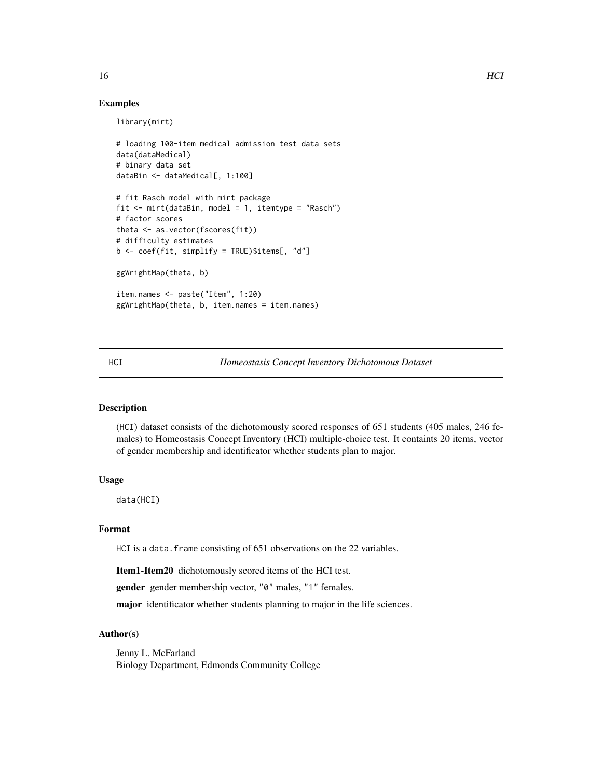# <span id="page-15-0"></span>Examples

library(mirt)

```
# loading 100-item medical admission test data sets
data(dataMedical)
# binary data set
dataBin <- dataMedical[, 1:100]
# fit Rasch model with mirt package
fit <- mirt(dataBin, model = 1, itemtype = "Rasch")
# factor scores
theta <- as.vector(fscores(fit))
# difficulty estimates
b \leq coef(fit, simplify = TRUE)$items[, "d"]
ggWrightMap(theta, b)
item.names <- paste("Item", 1:20)
ggWrightMap(theta, b, item.names = item.names)
```
<span id="page-15-1"></span>HCI *Homeostasis Concept Inventory Dichotomous Dataset*

# Description

(HCI) dataset consists of the dichotomously scored responses of 651 students (405 males, 246 females) to Homeostasis Concept Inventory (HCI) multiple-choice test. It containts 20 items, vector of gender membership and identificator whether students plan to major.

# Usage

data(HCI)

# Format

HCI is a data. frame consisting of 651 observations on the 22 variables.

Item1-Item20 dichotomously scored items of the HCI test.

gender gender membership vector, "0" males, "1" females.

major identificator whether students planning to major in the life sciences.

#### Author(s)

Jenny L. McFarland Biology Department, Edmonds Community College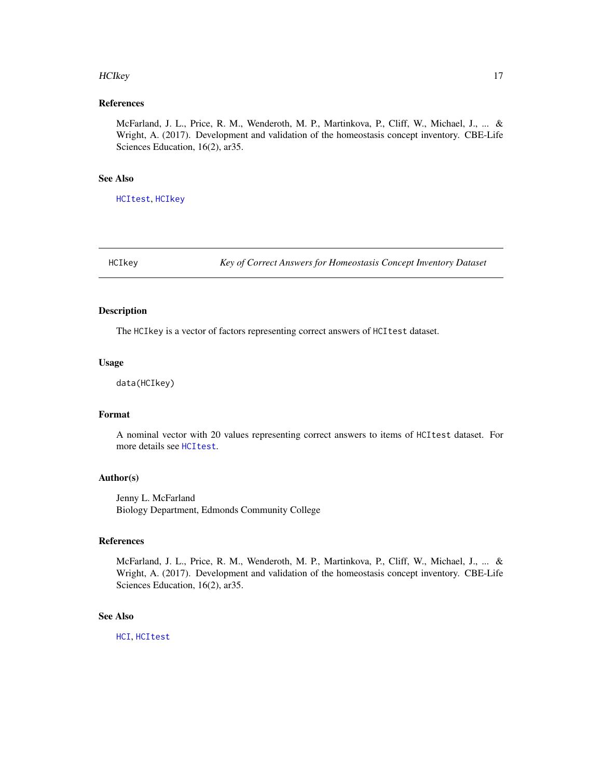#### <span id="page-16-0"></span>HCIkey 17

# References

McFarland, J. L., Price, R. M., Wenderoth, M. P., Martinkova, P., Cliff, W., Michael, J., ... & Wright, A. (2017). Development and validation of the homeostasis concept inventory. CBE-Life Sciences Education, 16(2), ar35.

# See Also

[HCItest](#page-17-1), [HCIkey](#page-16-1)

<span id="page-16-1"></span>HCIkey *Key of Correct Answers for Homeostasis Concept Inventory Dataset*

# Description

The HCIkey is a vector of factors representing correct answers of HCItest dataset.

#### Usage

data(HCIkey)

#### Format

A nominal vector with 20 values representing correct answers to items of HCItest dataset. For more details see [HCItest](#page-17-1).

# Author(s)

Jenny L. McFarland Biology Department, Edmonds Community College

# References

McFarland, J. L., Price, R. M., Wenderoth, M. P., Martinkova, P., Cliff, W., Michael, J., ... & Wright, A. (2017). Development and validation of the homeostasis concept inventory. CBE-Life Sciences Education, 16(2), ar35.

# See Also

[HCI](#page-15-1), [HCItest](#page-17-1)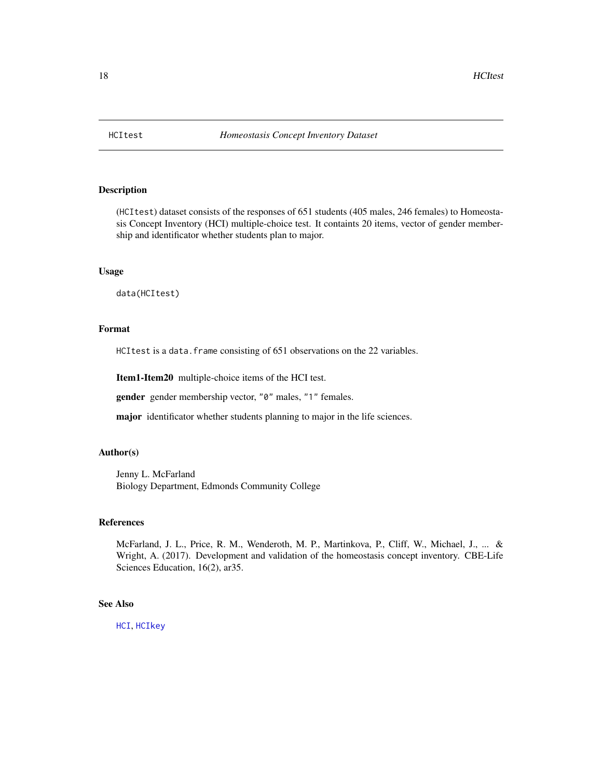<span id="page-17-1"></span><span id="page-17-0"></span>

# Description

(HCItest) dataset consists of the responses of 651 students (405 males, 246 females) to Homeostasis Concept Inventory (HCI) multiple-choice test. It containts 20 items, vector of gender membership and identificator whether students plan to major.

# Usage

data(HCItest)

# Format

HCItest is a data. frame consisting of 651 observations on the 22 variables.

Item1-Item20 multiple-choice items of the HCI test.

gender gender membership vector, "0" males, "1" females.

major identificator whether students planning to major in the life sciences.

# Author(s)

Jenny L. McFarland Biology Department, Edmonds Community College

# References

McFarland, J. L., Price, R. M., Wenderoth, M. P., Martinkova, P., Cliff, W., Michael, J., ... & Wright, A. (2017). Development and validation of the homeostasis concept inventory. CBE-Life Sciences Education, 16(2), ar35.

# See Also

[HCI](#page-15-1), [HCIkey](#page-16-1)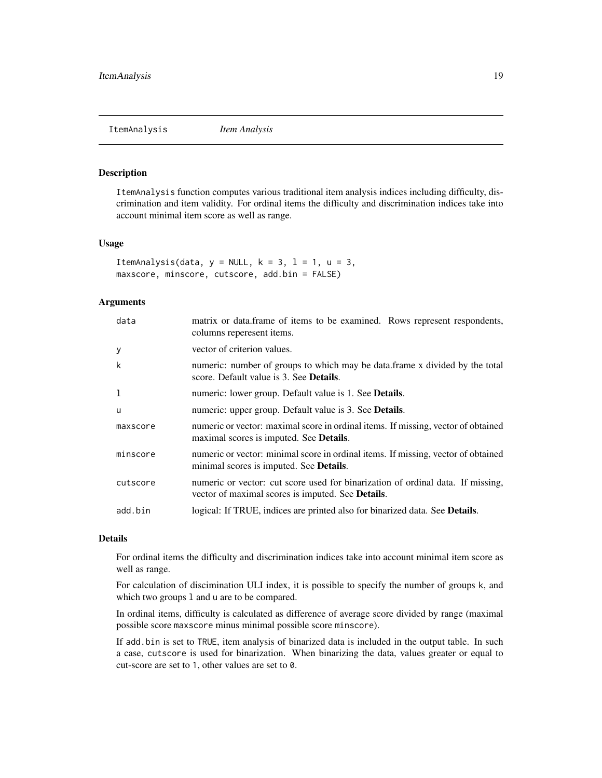<span id="page-18-1"></span><span id="page-18-0"></span>ItemAnalysis *Item Analysis*

# Description

ItemAnalysis function computes various traditional item analysis indices including difficulty, discrimination and item validity. For ordinal items the difficulty and discrimination indices take into account minimal item score as well as range.

#### Usage

```
ItemAnalysis(data, y = NULL, k = 3, l = 1, u = 3,
maxscore, minscore, cutscore, add.bin = FALSE)
```
# Arguments

| data     | matrix or data. frame of items to be examined. Rows represent respondents,<br>columns reperesent items.                              |
|----------|--------------------------------------------------------------------------------------------------------------------------------------|
| У        | vector of criterion values.                                                                                                          |
| k        | numeric: number of groups to which may be data.frame x divided by the total<br>score. Default value is 3. See <b>Details</b> .       |
| 1        | numeric: lower group. Default value is 1. See <b>Details</b> .                                                                       |
| <b>u</b> | numeric: upper group. Default value is 3. See <b>Details</b> .                                                                       |
| maxscore | numeric or vector: maximal score in ordinal items. If missing, vector of obtained<br>maximal scores is imputed. See <b>Details</b> . |
| minscore | numeric or vector: minimal score in ordinal items. If missing, vector of obtained<br>minimal scores is imputed. See <b>Details</b> . |
| cutscore | numeric or vector: cut score used for binarization of ordinal data. If missing,<br>vector of maximal scores is imputed. See Details. |
| add.bin  | logical: If TRUE, indices are printed also for binarized data. See <b>Details</b> .                                                  |

# Details

For ordinal items the difficulty and discrimination indices take into account minimal item score as well as range.

For calculation of discimination ULI index, it is possible to specify the number of groups k, and which two groups 1 and u are to be compared.

In ordinal items, difficulty is calculated as difference of average score divided by range (maximal possible score maxscore minus minimal possible score minscore).

If add.bin is set to TRUE, item analysis of binarized data is included in the output table. In such a case, cutscore is used for binarization. When binarizing the data, values greater or equal to cut-score are set to 1, other values are set to 0.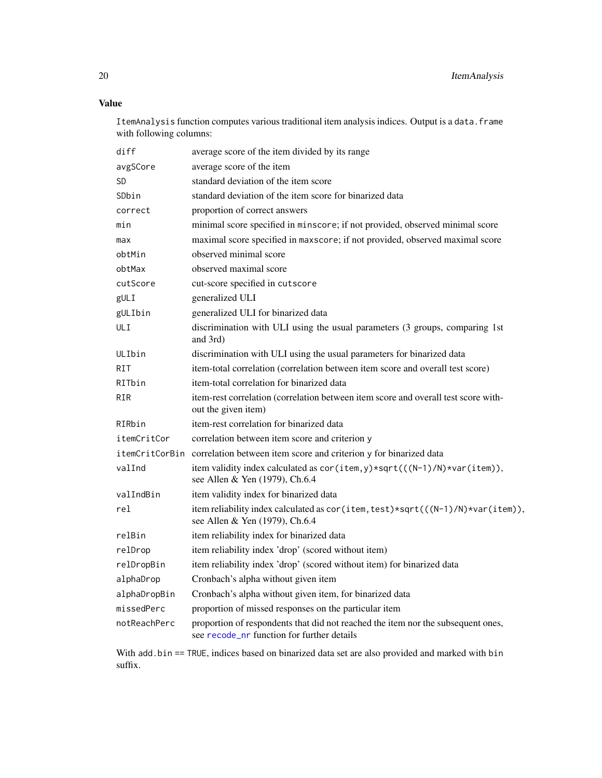<span id="page-19-0"></span>Value

ItemAnalysis function computes various traditional item analysis indices. Output is a data.frame with following columns:

| diff           | average score of the item divided by its range                                                                                 |
|----------------|--------------------------------------------------------------------------------------------------------------------------------|
| avgSCore       | average score of the item                                                                                                      |
| <b>SD</b>      | standard deviation of the item score                                                                                           |
| SDbin          | standard deviation of the item score for binarized data                                                                        |
| correct        | proportion of correct answers                                                                                                  |
| min            | minimal score specified in minscore; if not provided, observed minimal score                                                   |
| max            | maximal score specified in maxscore; if not provided, observed maximal score                                                   |
| obtMin         | observed minimal score                                                                                                         |
| obtMax         | observed maximal score                                                                                                         |
| cutScore       | cut-score specified in cutscore                                                                                                |
| gULI           | generalized ULI                                                                                                                |
| gULIbin        | generalized ULI for binarized data                                                                                             |
| ULI            | discrimination with ULI using the usual parameters (3 groups, comparing 1st<br>and 3rd)                                        |
| ULIbin         | discrimination with ULI using the usual parameters for binarized data                                                          |
| <b>RIT</b>     | item-total correlation (correlation between item score and overall test score)                                                 |
| RITbin         | item-total correlation for binarized data                                                                                      |
| <b>RIR</b>     | item-rest correlation (correlation between item score and overall test score with-<br>out the given item)                      |
| RIRbin         | item-rest correlation for binarized data                                                                                       |
| itemCritCor    | correlation between item score and criterion y                                                                                 |
| itemCritCorBin | correlation between item score and criterion y for binarized data                                                              |
| valInd         | item validity index calculated as cor(item, y)*sqrt(((N-1)/N)*var(item)),<br>see Allen & Yen (1979), Ch.6.4                    |
| valIndBin      | item validity index for binarized data                                                                                         |
| rel            | item reliability index calculated as cor(item, test)*sqrt(((N-1)/N)*var(item)),<br>see Allen & Yen (1979), Ch.6.4              |
| relBin         | item reliability index for binarized data                                                                                      |
| relDrop        | item reliability index 'drop' (scored without item)                                                                            |
| relDropBin     | item reliability index 'drop' (scored without item) for binarized data                                                         |
| alphaDrop      | Cronbach's alpha without given item                                                                                            |
| alphaDropBin   | Cronbach's alpha without given item, for binarized data                                                                        |
| missedPerc     | proportion of missed responses on the particular item                                                                          |
| notReachPerc   | proportion of respondents that did not reached the item nor the subsequent ones,<br>see recode_nr function for further details |

With add.bin == TRUE, indices based on binarized data set are also provided and marked with bin suffix.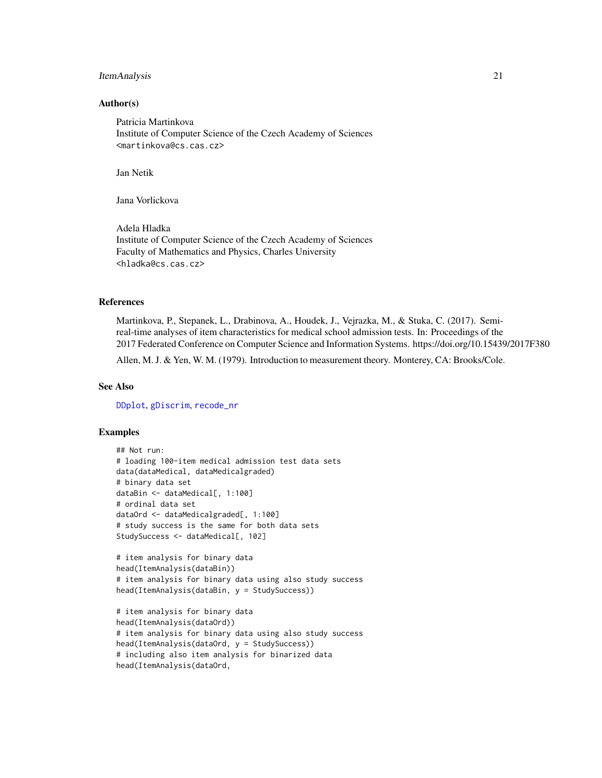# <span id="page-20-0"></span>ItemAnalysis 21

### Author(s)

Patricia Martinkova Institute of Computer Science of the Czech Academy of Sciences <martinkova@cs.cas.cz>

Jan Netik

Jana Vorlickova

Adela Hladka Institute of Computer Science of the Czech Academy of Sciences Faculty of Mathematics and Physics, Charles University <hladka@cs.cas.cz>

# References

Martinkova, P., Stepanek, L., Drabinova, A., Houdek, J., Vejrazka, M., & Stuka, C. (2017). Semireal-time analyses of item characteristics for medical school admission tests. In: Proceedings of the 2017 Federated Conference on Computer Science and Information Systems. https://doi.org/10.15439/2017F380

Allen, M. J. & Yen, W. M. (1979). Introduction to measurement theory. Monterey, CA: Brooks/Cole.

# See Also

[DDplot](#page-7-1), [gDiscrim](#page-12-1), [recode\\_nr](#page-31-1)

#### Examples

```
## Not run:
# loading 100-item medical admission test data sets
data(dataMedical, dataMedicalgraded)
# binary data set
dataBin <- dataMedical[, 1:100]
# ordinal data set
dataOrd <- dataMedicalgraded[, 1:100]
# study success is the same for both data sets
StudySuccess <- dataMedical[, 102]
# item analysis for binary data
head(ItemAnalysis(dataBin))
# item analysis for binary data using also study success
head(ItemAnalysis(dataBin, y = StudySuccess))
# item analysis for binary data
head(ItemAnalysis(dataOrd))
# item analysis for binary data using also study success
head(ItemAnalysis(dataOrd, y = StudySuccess))
# including also item analysis for binarized data
head(ItemAnalysis(dataOrd,
```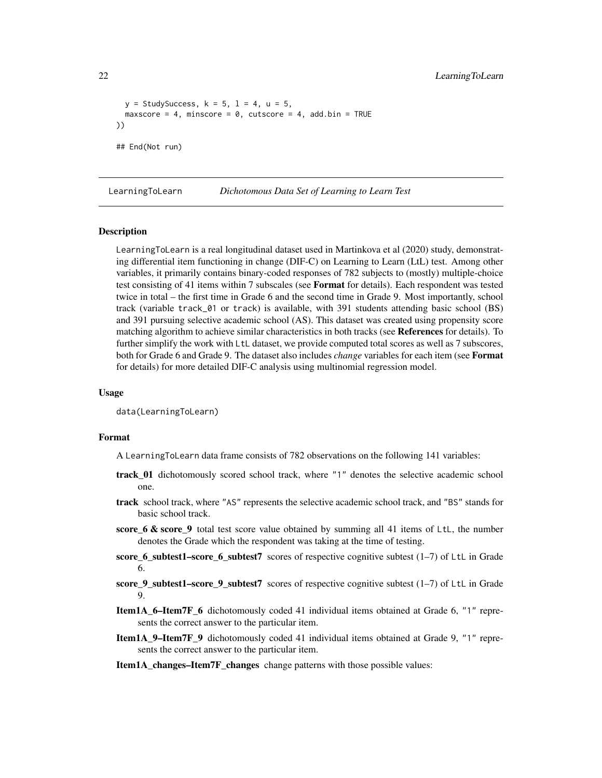```
y = StudySuccess, k = 5, l = 4, u = 5,
 maxscore = 4, minscore = 0, cutscore = 4, add.bin = TRUE
))
## End(Not run)
```
<span id="page-21-1"></span>LearningToLearn *Dichotomous Data Set of Learning to Learn Test*

#### Description

LearningToLearn is a real longitudinal dataset used in Martinkova et al (2020) study, demonstrating differential item functioning in change (DIF-C) on Learning to Learn (LtL) test. Among other variables, it primarily contains binary-coded responses of 782 subjects to (mostly) multiple-choice test consisting of 41 items within 7 subscales (see **Format** for details). Each respondent was tested twice in total – the first time in Grade 6 and the second time in Grade 9. Most importantly, school track (variable track\_01 or track) is available, with 391 students attending basic school (BS) and 391 pursuing selective academic school (AS). This dataset was created using propensity score matching algorithm to achieve similar characteristics in both tracks (see References for details). To further simplify the work with LtL dataset, we provide computed total scores as well as 7 subscores, both for Grade 6 and Grade 9. The dataset also includes *change* variables for each item (see Format for details) for more detailed DIF-C analysis using multinomial regression model.

#### Usage

data(LearningToLearn)

#### Format

A LearningToLearn data frame consists of 782 observations on the following 141 variables:

- track\_01 dichotomously scored school track, where "1" denotes the selective academic school one.
- track school track, where "AS" represents the selective academic school track, and "BS" stands for basic school track.
- score\_6  $\&$  score\_9 total test score value obtained by summing all 41 items of LtL, the number denotes the Grade which the respondent was taking at the time of testing.
- score\_6\_subtest1–score\_6\_subtest7 scores of respective cognitive subtest (1–7) of LtL in Grade 6.
- score\_9\_subtest1–score\_9\_subtest7 scores of respective cognitive subtest (1–7) of LtL in Grade 9.
- Item1A\_6–Item7F\_6 dichotomously coded 41 individual items obtained at Grade 6, "1" represents the correct answer to the particular item.
- Item1A\_9–Item7F\_9 dichotomously coded 41 individual items obtained at Grade 9, "1" represents the correct answer to the particular item.
- Item1A\_changes–Item7F\_changes change patterns with those possible values: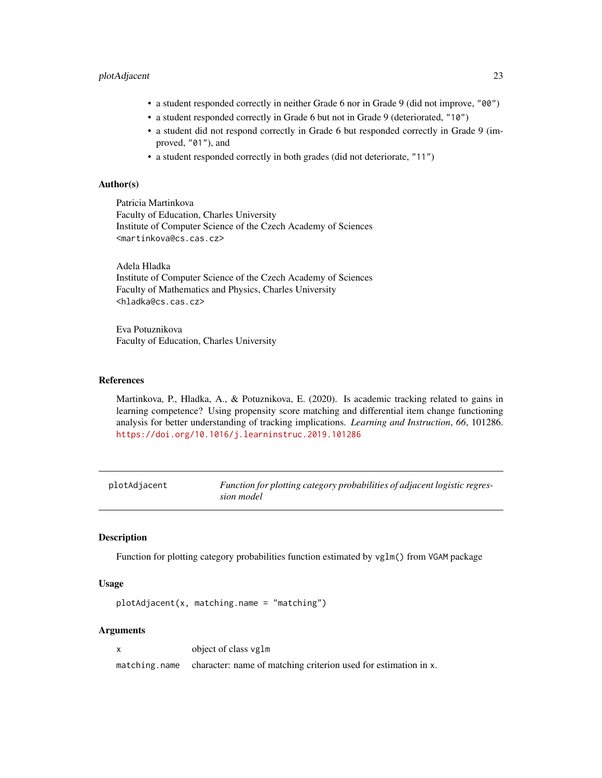# <span id="page-22-0"></span>plotAdjacent 23

- a student responded correctly in neither Grade 6 nor in Grade 9 (did not improve, "00")
- a student responded correctly in Grade 6 but not in Grade 9 (deteriorated, "10")
- a student did not respond correctly in Grade 6 but responded correctly in Grade 9 (improved, "01"), and
- a student responded correctly in both grades (did not deteriorate, "11")

# Author(s)

Patricia Martinkova Faculty of Education, Charles University Institute of Computer Science of the Czech Academy of Sciences <martinkova@cs.cas.cz>

Adela Hladka Institute of Computer Science of the Czech Academy of Sciences Faculty of Mathematics and Physics, Charles University <hladka@cs.cas.cz>

Eva Potuznikova Faculty of Education, Charles University

# References

Martinkova, P., Hladka, A., & Potuznikova, E. (2020). Is academic tracking related to gains in learning competence? Using propensity score matching and differential item change functioning analysis for better understanding of tracking implications. *Learning and Instruction*, *66*, 101286. <https://doi.org/10.1016/j.learninstruc.2019.101286>

<span id="page-22-1"></span>

| plotAdjacent | Function for plotting category probabilities of adjacent logistic regres- |
|--------------|---------------------------------------------------------------------------|
|              | sion model                                                                |

### Description

Function for plotting category probabilities function estimated by vglm() from VGAM package

# Usage

plotAdjacent(x, matching.name = "matching")

# Arguments

x object of class vglm

matching.name character: name of matching criterion used for estimation in x.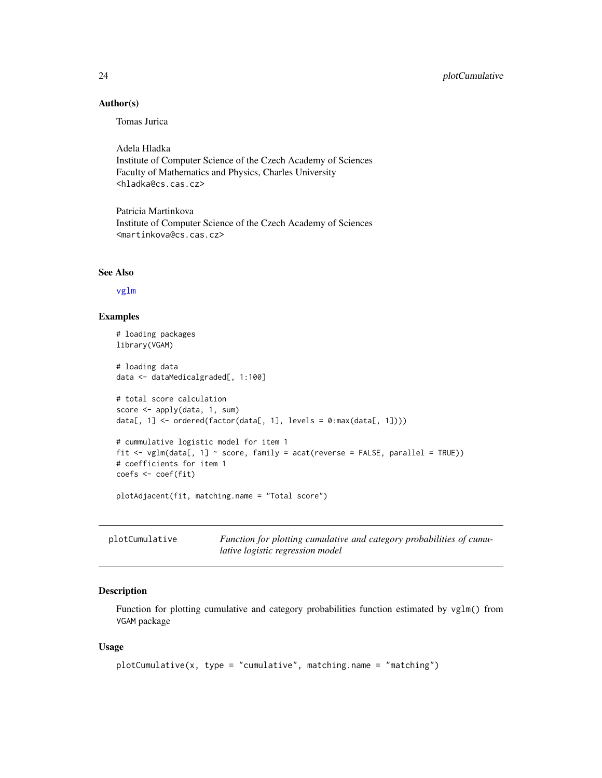# Author(s)

Tomas Jurica

Adela Hladka Institute of Computer Science of the Czech Academy of Sciences Faculty of Mathematics and Physics, Charles University <hladka@cs.cas.cz>

Patricia Martinkova Institute of Computer Science of the Czech Academy of Sciences <martinkova@cs.cas.cz>

#### See Also

[vglm](#page-0-0)

#### Examples

```
# loading packages
library(VGAM)
# loading data
data <- dataMedicalgraded[, 1:100]
# total score calculation
score <- apply(data, 1, sum)
data[, 1] <- ordered(factor(data[, 1], levels = 0:max(data[, 1])))
# cummulative logistic model for item 1
fit \le vglm(data[, 1] \le score, family = acat(reverse = FALSE, parallel = TRUE))
# coefficients for item 1
coefs <- coef(fit)
plotAdjacent(fit, matching.name = "Total score")
```
<span id="page-23-1"></span>

| plotCumulative | Function for plotting cumulative and category probabilities of cumu- |
|----------------|----------------------------------------------------------------------|
|                | lative logistic regression model                                     |

# Description

Function for plotting cumulative and category probabilities function estimated by vglm() from VGAM package

### Usage

```
plotCumulative(x, type = "cumulative", matching.name = "matching")
```
<span id="page-23-0"></span>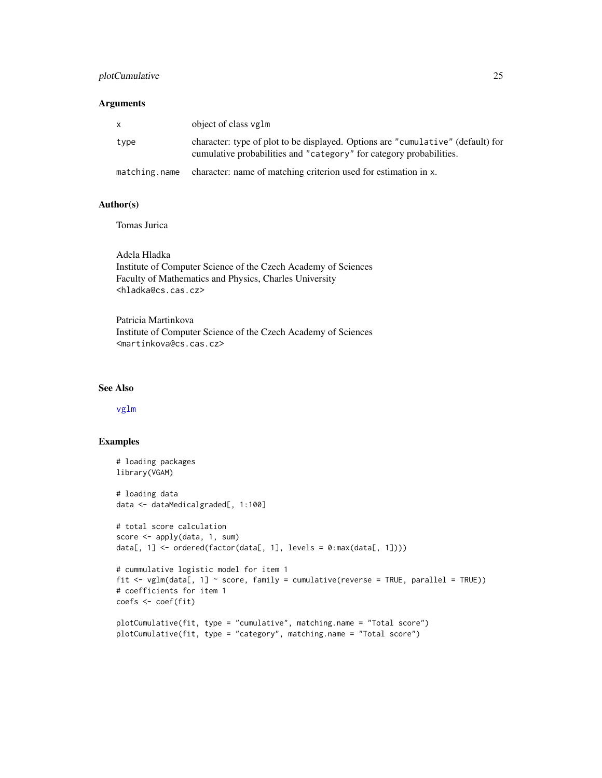# <span id="page-24-0"></span>plotCumulative 25

# Arguments

| X.            | object of class vglm                                                                                                                                   |
|---------------|--------------------------------------------------------------------------------------------------------------------------------------------------------|
| type          | character: type of plot to be displayed. Options are "cumulative" (default) for<br>cumulative probabilities and "category" for category probabilities. |
| matching.name | character: name of matching criterion used for estimation in x.                                                                                        |

# Author(s)

Tomas Jurica

Adela Hladka Institute of Computer Science of the Czech Academy of Sciences Faculty of Mathematics and Physics, Charles University <hladka@cs.cas.cz>

Patricia Martinkova Institute of Computer Science of the Czech Academy of Sciences <martinkova@cs.cas.cz>

# See Also

# [vglm](#page-0-0)

# Examples

```
# loading packages
library(VGAM)
# loading data
data <- dataMedicalgraded[, 1:100]
# total score calculation
score <- apply(data, 1, sum)
data[, 1] <- ordered(factor(data[, 1], levels = 0:max(data[, 1])))
# cummulative logistic model for item 1
fit \leq vglm(data[, 1] \sim score, family = cumulative(reverse = TRUE, parallel = TRUE))
# coefficients for item 1
coefs <- coef(fit)
plotCumulative(fit, type = "cumulative", matching.name = "Total score")
plotCumulative(fit, type = "category", matching.name = "Total score")
```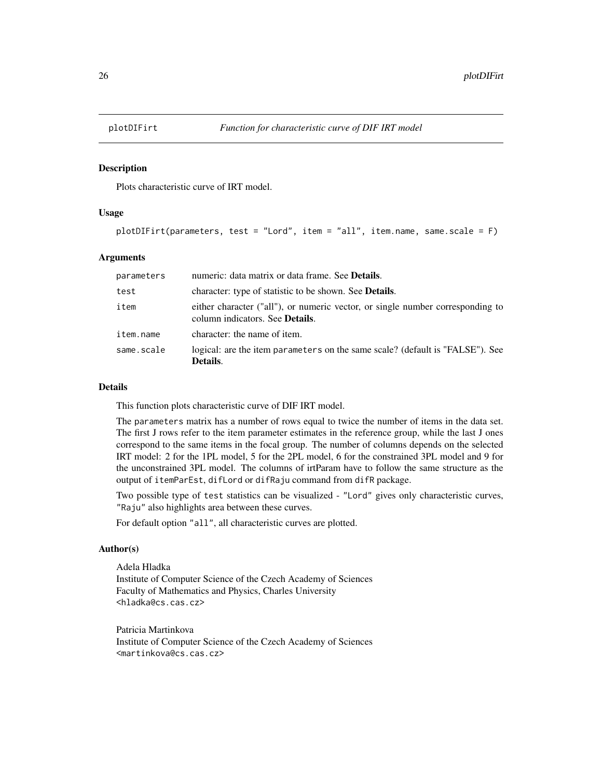<span id="page-25-1"></span><span id="page-25-0"></span>

#### Description

Plots characteristic curve of IRT model.

#### Usage

```
plotDIFirt(parameters, test = "Lord", item = "all", item.name, same.scale = F)
```
#### Arguments

| parameters | numeric: data matrix or data frame. See <b>Details</b> .                                                                  |
|------------|---------------------------------------------------------------------------------------------------------------------------|
| test       | character: type of statistic to be shown. See <b>Details</b> .                                                            |
| item       | either character ("all"), or numeric vector, or single number corresponding to<br>column indicators. See <b>Details</b> . |
| item.name  | character: the name of item.                                                                                              |
| same.scale | logical: are the item parameters on the same scale? (default is "FALSE"). See<br>Details.                                 |

#### Details

This function plots characteristic curve of DIF IRT model.

The parameters matrix has a number of rows equal to twice the number of items in the data set. The first J rows refer to the item parameter estimates in the reference group, while the last J ones correspond to the same items in the focal group. The number of columns depends on the selected IRT model: 2 for the 1PL model, 5 for the 2PL model, 6 for the constrained 3PL model and 9 for the unconstrained 3PL model. The columns of irtParam have to follow the same structure as the output of itemParEst, difLord or difRaju command from difR package.

Two possible type of test statistics can be visualized - "Lord" gives only characteristic curves, "Raju" also highlights area between these curves.

For default option "all", all characteristic curves are plotted.

#### Author(s)

Adela Hladka Institute of Computer Science of the Czech Academy of Sciences Faculty of Mathematics and Physics, Charles University <hladka@cs.cas.cz>

Patricia Martinkova Institute of Computer Science of the Czech Academy of Sciences <martinkova@cs.cas.cz>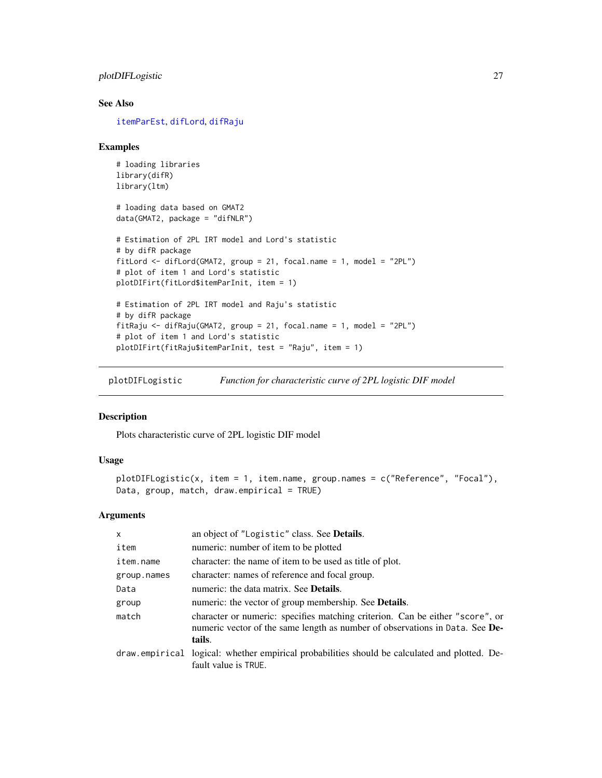<span id="page-26-0"></span>plotDIFLogistic 27

# See Also

[itemParEst](#page-0-0), [difLord](#page-0-0), [difRaju](#page-0-0)

#### Examples

```
# loading libraries
library(difR)
library(ltm)
# loading data based on GMAT2
data(GMAT2, package = "difNLR")
# Estimation of 2PL IRT model and Lord's statistic
# by difR package
fitLord <- difLord(GMAT2, group = 21, focal.name = 1, model = "2PL")
# plot of item 1 and Lord's statistic
plotDIFirt(fitLord$itemParInit, item = 1)
# Estimation of 2PL IRT model and Raju's statistic
# by difR package
fitRaju <- difRaju(GMAT2, group = 21, focal.name = 1, model = "2PL")
# plot of item 1 and Lord's statistic
plotDIFirt(fitRaju$itemParInit, test = "Raju", item = 1)
```
<span id="page-26-1"></span>plotDIFLogistic *Function for characteristic curve of 2PL logistic DIF model*

# Description

Plots characteristic curve of 2PL logistic DIF model

# Usage

```
plotDIFLogistic(x, item = 1, item.name, group.names = c("Reference", "Focal"),
Data, group, match, draw.empirical = TRUE)
```
#### Arguments

| an object of "Logistic" class. See Details.                                                                                                                             |
|-------------------------------------------------------------------------------------------------------------------------------------------------------------------------|
| numeric: number of item to be plotted                                                                                                                                   |
| character: the name of item to be used as title of plot.                                                                                                                |
| character: names of reference and focal group.                                                                                                                          |
| numeric: the data matrix. See <b>Details</b> .                                                                                                                          |
| numeric: the vector of group membership. See Details.                                                                                                                   |
| character or numeric: specifies matching criterion. Can be either "score", or<br>numeric vector of the same length as number of observations in Data. See De-<br>tails. |
| draw empirical logical: whether empirical probabilities should be calculated and plotted. De-<br>fault value is TRUE.                                                   |
|                                                                                                                                                                         |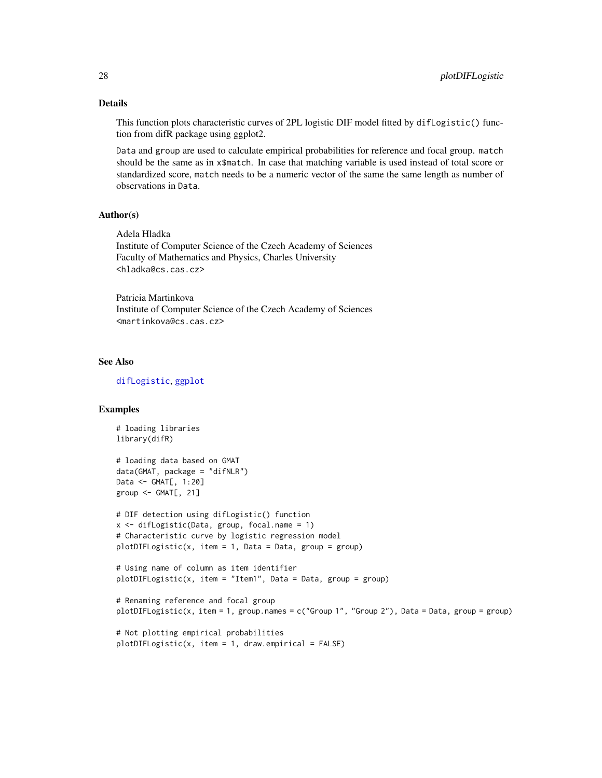# Details

This function plots characteristic curves of 2PL logistic DIF model fitted by difLogistic() function from difR package using ggplot2.

Data and group are used to calculate empirical probabilities for reference and focal group. match should be the same as in x\$match. In case that matching variable is used instead of total score or standardized score, match needs to be a numeric vector of the same the same length as number of observations in Data.

### Author(s)

Adela Hladka Institute of Computer Science of the Czech Academy of Sciences Faculty of Mathematics and Physics, Charles University <hladka@cs.cas.cz>

Patricia Martinkova Institute of Computer Science of the Czech Academy of Sciences <martinkova@cs.cas.cz>

# See Also

[difLogistic](#page-0-0), [ggplot](#page-0-0)

# Examples

```
# loading libraries
library(difR)
# loading data based on GMAT
data(GMAT, package = "difNLR")
Data <- GMAT[, 1:20]
group \leftarrow GMAT[, 21]# DIF detection using difLogistic() function
x <- difLogistic(Data, group, focal.name = 1)
# Characteristic curve by logistic regression model
plotDIFFCogistic(x, item = 1, Data = Data, group = group)# Using name of column as item identifier
plotDIFLogistic(x, item = "Item1", Data = Data, group = group)
# Renaming reference and focal group
plotDIFLogistic(x, item = 1, group.names = c("Group 1", "Group 2"), Data = Data, group = group)
# Not plotting empirical probabilities
plotDIFLogistic(x, item = 1, draw.empirical = FALSE)
```
<span id="page-27-0"></span>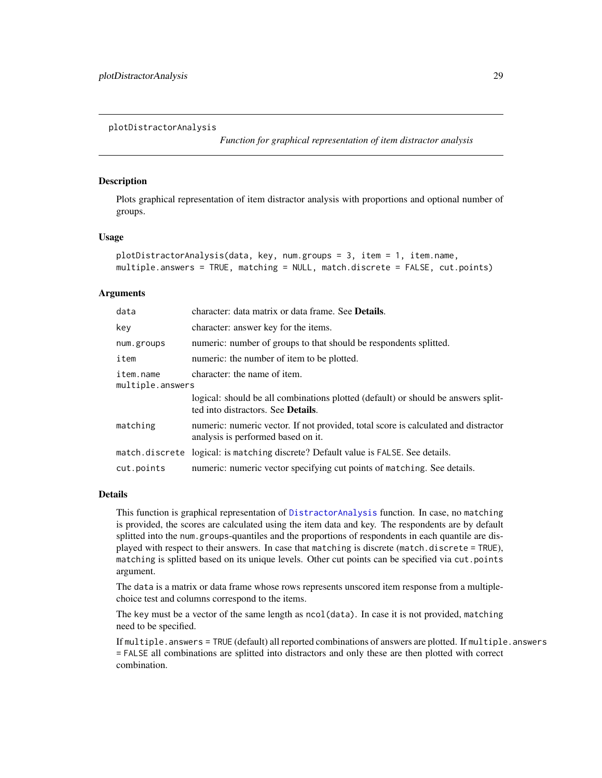*Function for graphical representation of item distractor analysis*

# <span id="page-28-1"></span><span id="page-28-0"></span>**Description**

Plots graphical representation of item distractor analysis with proportions and optional number of groups.

# Usage

```
plotDistractorAnalysis(data, key, num.groups = 3, item = 1, item.name,multiple.answers = TRUE, matching = NULL, match.discrete = FALSE, cut.points)
```
#### **Arguments**

| data                          | character: data matrix or data frame. See <b>Details</b> .                                                                      |  |
|-------------------------------|---------------------------------------------------------------------------------------------------------------------------------|--|
| key                           | character: answer key for the items.                                                                                            |  |
| num.groups                    | numeric: number of groups to that should be respondents splitted.                                                               |  |
| item                          | numeric: the number of item to be plotted.                                                                                      |  |
| item.name<br>multiple.answers | character: the name of item.                                                                                                    |  |
|                               | logical: should be all combinations plotted (default) or should be answers split-<br>ted into distractors. See <b>Details</b> . |  |
| matching                      | numeric: numeric vector. If not provided, total score is calculated and distractor<br>analysis is performed based on it.        |  |
|                               | match, discrete logical: is matching discrete? Default value is FALSE. See details.                                             |  |
| cut.points                    | numeric: numeric vector specifying cut points of matching. See details.                                                         |  |

#### Details

This function is graphical representation of [DistractorAnalysis](#page-10-1) function. In case, no matching is provided, the scores are calculated using the item data and key. The respondents are by default splitted into the num.groups-quantiles and the proportions of respondents in each quantile are displayed with respect to their answers. In case that matching is discrete (match.discrete = TRUE), matching is splitted based on its unique levels. Other cut points can be specified via cut.points argument.

The data is a matrix or data frame whose rows represents unscored item response from a multiplechoice test and columns correspond to the items.

The key must be a vector of the same length as ncol(data). In case it is not provided, matching need to be specified.

If multiple.answers = TRUE (default) all reported combinations of answers are plotted. If multiple.answers = FALSE all combinations are splitted into distractors and only these are then plotted with correct combination.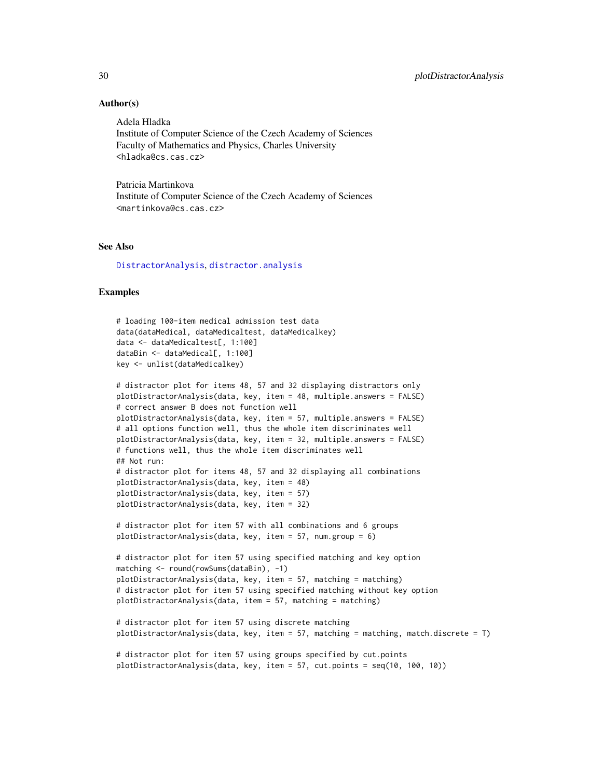# Author(s)

Adela Hladka Institute of Computer Science of the Czech Academy of Sciences Faculty of Mathematics and Physics, Charles University <hladka@cs.cas.cz>

Patricia Martinkova Institute of Computer Science of the Czech Academy of Sciences <martinkova@cs.cas.cz>

# See Also

[DistractorAnalysis](#page-10-1), [distractor.analysis](#page-0-0)

#### Examples

```
# loading 100-item medical admission test data
data(dataMedical, dataMedicaltest, dataMedicalkey)
data <- dataMedicaltest[, 1:100]
dataBin <- dataMedical[, 1:100]
key <- unlist(dataMedicalkey)
# distractor plot for items 48, 57 and 32 displaying distractors only
plotDistractorAnalysis(data, key, item = 48, multiple.answers = FALSE)
# correct answer B does not function well
plotDistractorAnalysis(data, key, item = 57, multiple.answers = FALSE)
# all options function well, thus the whole item discriminates well
plotDistractorAnalysis(data, key, item = 32, multiple.answers = FALSE)
# functions well, thus the whole item discriminates well
## Not run:
# distractor plot for items 48, 57 and 32 displaying all combinations
plotDistractorAnalysis(data, key, item = 48)
plotDistractorAnalysis(data, key, item = 57)
plotDistractorAnalysis(data, key, item = 32)
# distractor plot for item 57 with all combinations and 6 groups
plotDistractorAnalysis(data, key, item = 57, num.group = 6)
# distractor plot for item 57 using specified matching and key option
matching <- round(rowSums(dataBin), -1)
plotDistractorAnalysis(data, key, item = 57, matching = matching)
# distractor plot for item 57 using specified matching without key option
plotDistractorAnalysis(data, item = 57, matching = matching)
# distractor plot for item 57 using discrete matching
plotDistractorAnalysis(data, key, item = 57, matching = matching, match.discrete = T)
# distractor plot for item 57 using groups specified by cut.points
plotDistractorAnalysis(data, key, item = 57, cut.points = seq(10, 100, 10))
```
<span id="page-29-0"></span>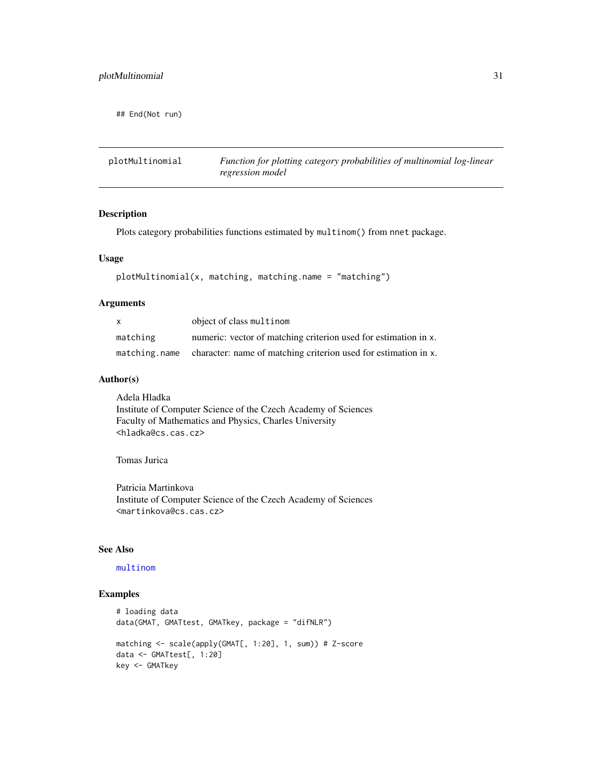<span id="page-30-0"></span>## End(Not run)

<span id="page-30-1"></span>

| plotMultinomial | Function for plotting category probabilities of multinomial log-linear |
|-----------------|------------------------------------------------------------------------|
|                 | regression model                                                       |

# Description

Plots category probabilities functions estimated by multinom() from nnet package.

# Usage

```
plotMultinomial(x, matching, matching.name = "matching")
```
# Arguments

| X        | object of class multinom                                                      |
|----------|-------------------------------------------------------------------------------|
| matching | numeric: vector of matching criterion used for estimation in x.               |
|          | matching name character: name of matching criterion used for estimation in x. |

# Author(s)

Adela Hladka Institute of Computer Science of the Czech Academy of Sciences Faculty of Mathematics and Physics, Charles University <hladka@cs.cas.cz>

# Tomas Jurica

Patricia Martinkova Institute of Computer Science of the Czech Academy of Sciences <martinkova@cs.cas.cz>

#### See Also

# [multinom](#page-0-0)

# Examples

```
# loading data
data(GMAT, GMATtest, GMATkey, package = "difNLR")
matching <- scale(apply(GMAT[, 1:20], 1, sum)) # Z-score
data <- GMATtest[, 1:20]
key <- GMATkey
```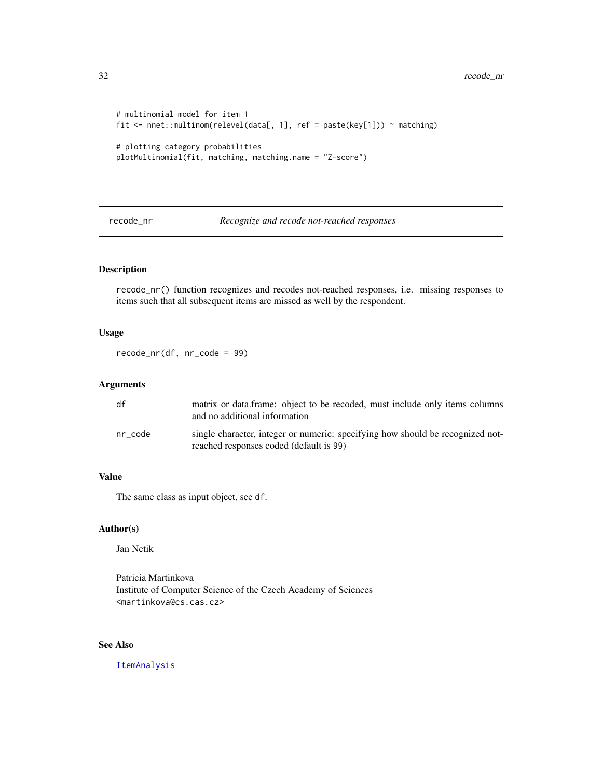```
# multinomial model for item 1
fit <- nnet::multinom(relevel(data[, 1], ref = paste(key[1])) ~ matching)
# plotting category probabilities
plotMultinomial(fit, matching, matching.name = "Z-score")
```
<span id="page-31-1"></span>recode\_nr *Recognize and recode not-reached responses*

# Description

recode\_nr() function recognizes and recodes not-reached responses, i.e. missing responses to items such that all subsequent items are missed as well by the respondent.

# Usage

recode\_nr(df, nr\_code = 99)

# Arguments

| df      | matrix or data.frame: object to be recoded, must include only items columns<br>and no additional information              |
|---------|---------------------------------------------------------------------------------------------------------------------------|
| nr code | single character, integer or numeric: specifying how should be recognized not-<br>reached responses coded (default is 99) |

# Value

The same class as input object, see df.

# Author(s)

Jan Netik

Patricia Martinkova Institute of Computer Science of the Czech Academy of Sciences <martinkova@cs.cas.cz>

# See Also

[ItemAnalysis](#page-18-1)

<span id="page-31-0"></span>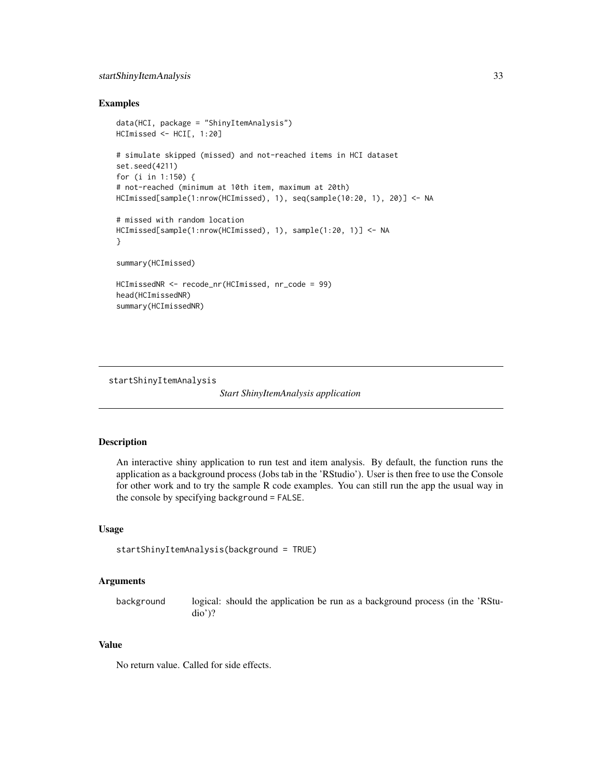# <span id="page-32-0"></span>startShinyItemAnalysis 33

### Examples

```
data(HCI, package = "ShinyItemAnalysis")
HCImissed <- HCI[, 1:20]
# simulate skipped (missed) and not-reached items in HCI dataset
set.seed(4211)
for (i in 1:150) {
# not-reached (minimum at 10th item, maximum at 20th)
HCImissed[sample(1:nrow(HCImissed), 1), seq(sample(10:20, 1), 20)] <- NA
# missed with random location
HCImissed[sample(1:nrow(HCImissed), 1), sample(1:20, 1)] <- NA
}
summary(HCImissed)
HCImissedNR <- recode_nr(HCImissed, nr_code = 99)
head(HCImissedNR)
summary(HCImissedNR)
```
<span id="page-32-1"></span>startShinyItemAnalysis

*Start ShinyItemAnalysis application*

# Description

An interactive shiny application to run test and item analysis. By default, the function runs the application as a background process (Jobs tab in the 'RStudio'). User is then free to use the Console for other work and to try the sample R code examples. You can still run the app the usual way in the console by specifying background = FALSE.

# Usage

```
startShinyItemAnalysis(background = TRUE)
```
#### Arguments

background logical: should the application be run as a background process (in the 'RStudio')?

#### Value

No return value. Called for side effects.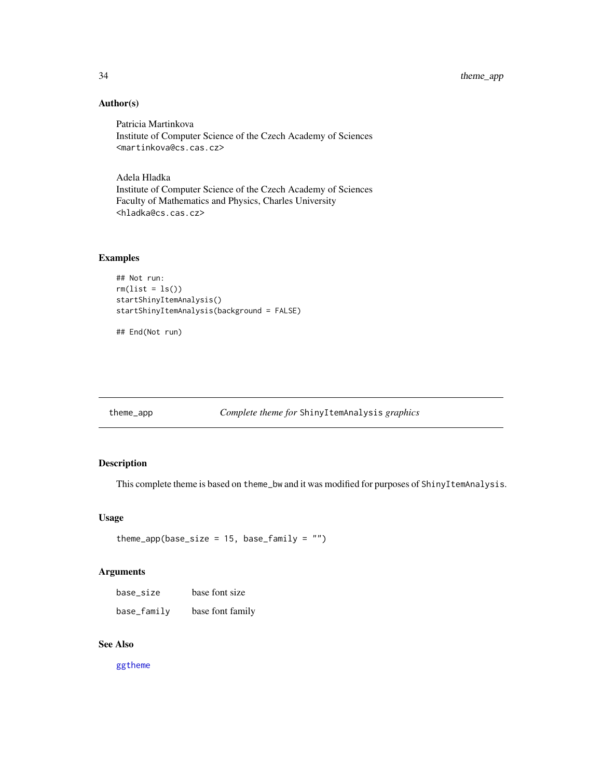# Author(s)

Patricia Martinkova Institute of Computer Science of the Czech Academy of Sciences <martinkova@cs.cas.cz>

Adela Hladka Institute of Computer Science of the Czech Academy of Sciences Faculty of Mathematics and Physics, Charles University <hladka@cs.cas.cz>

# Examples

```
## Not run:
rm(list = ls())startShinyItemAnalysis()
startShinyItemAnalysis(background = FALSE)
```
## End(Not run)

theme\_app *Complete theme for* ShinyItemAnalysis *graphics*

# Description

This complete theme is based on theme\_bw and it was modified for purposes of ShinyItemAnalysis.

# Usage

```
theme_app(base_size = 15, base_family = "")
```
#### Arguments

| base_size   | base font size   |
|-------------|------------------|
| base_family | base font family |

# See Also

[ggtheme](#page-0-0)

<span id="page-33-0"></span>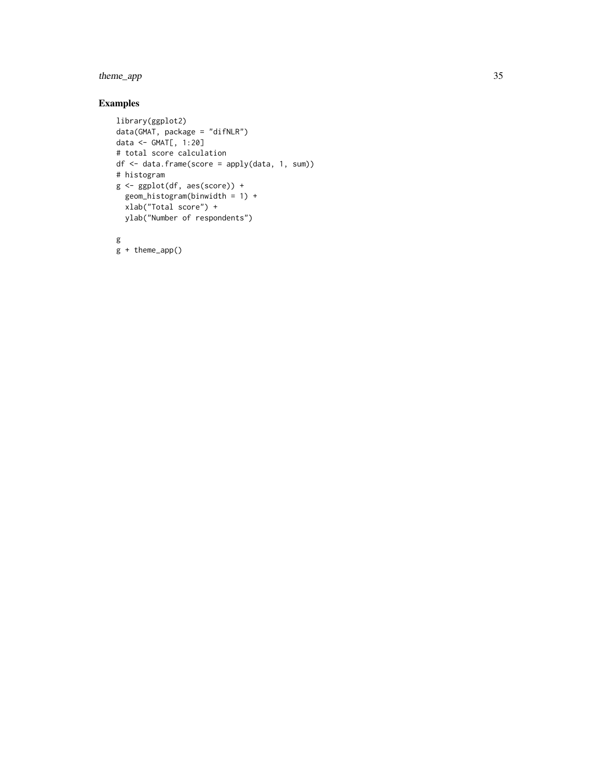# theme\_app 35

# Examples

```
library(ggplot2)
data(GMAT, package = "difNLR")
data <- GMAT[, 1:20]
# total score calculation
df <- data.frame(score = apply(data, 1, sum))
# histogram
g <- ggplot(df, aes(score)) +
  geom_histogram(binwidth = 1) +
  xlab("Total score") +
  ylab("Number of respondents")
g
```
g + theme\_app()